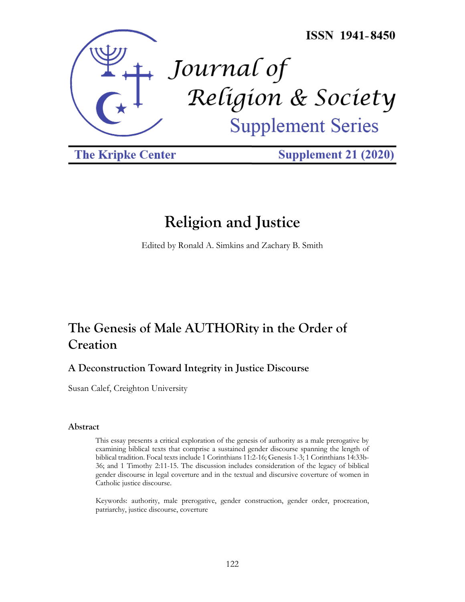

**The Kripke Center** 

**Supplement 21 (2020)** 

# **Religion and Justice**

Edited by Ronald A. Simkins and Zachary B. Smith

# **The Genesis of Male AUTHORity in the Order of Creation**

# **A Deconstruction Toward Integrity in Justice Discourse**

Susan Calef, Creighton University

## **Abstract**

This essay presents a critical exploration of the genesis of authority as a male prerogative by examining biblical texts that comprise a sustained gender discourse spanning the length of biblical tradition. Focal texts include 1 Corinthians 11:2-16; Genesis 1-3; 1 Corinthians 14:33b-36; and 1 Timothy 2:11-15. The discussion includes consideration of the legacy of biblical gender discourse in legal coverture and in the textual and discursive coverture of women in Catholic justice discourse.

Keywords: authority, male prerogative, gender construction, gender order, procreation, patriarchy, justice discourse, coverture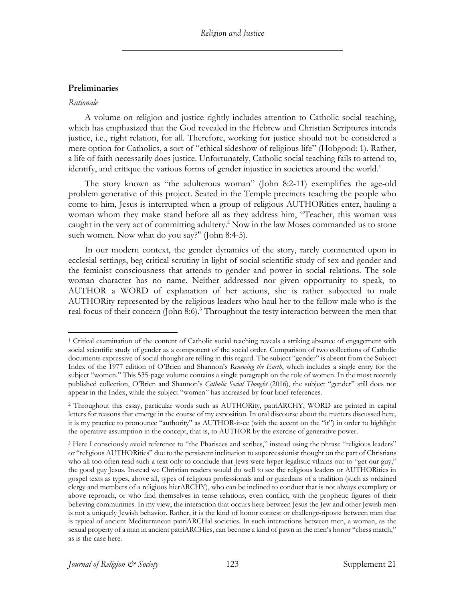## **Preliminaries**

#### *Rationale*

A volume on religion and justice rightly includes attention to Catholic social teaching, which has emphasized that the God revealed in the Hebrew and Christian Scriptures intends justice, i.e., right relation, for all. Therefore, working for justice should not be considered a mere option for Catholics, a sort of "ethical sideshow of religious life" (Hobgood: 1). Rather, a life of faith necessarily does justice. Unfortunately, Catholic social teaching fails to attend to, identify, and critique the various forms of gender injustice in societies around the world.<sup>1</sup>

The story known as "the adulterous woman" (John 8:2-11) exemplifies the age-old problem generative of this project. Seated in the Temple precincts teaching the people who come to him, Jesus is interrupted when a group of religious AUTHORities enter, hauling a woman whom they make stand before all as they address him, "Teacher, this woman was caught in the very act of committing adultery.<sup>2</sup> Now in the law Moses commanded us to stone such women. Now what do you say?" (John 8:4-5).

In our modern context, the gender dynamics of the story, rarely commented upon in ecclesial settings, beg critical scrutiny in light of social scientific study of sex and gender and the feminist consciousness that attends to gender and power in social relations. The sole woman character has no name. Neither addressed nor given opportunity to speak, to AUTHOR a WORD of explanation of her actions, she is rather subjected to male AUTHORity represented by the religious leaders who haul her to the fellow male who is the real focus of their concern (John 8:6).<sup>3</sup> Throughout the testy interaction between the men that

<sup>1</sup> Critical examination of the content of Catholic social teaching reveals a striking absence of engagement with social scientific study of gender as a component of the social order. Comparison of two collections of Catholic documents expressive of social thought are telling in this regard. The subject "gender" is absent from the Subject Index of the 1977 edition of O'Brien and Shannon's *Renewing the Earth*, which includes a single entry for the subject "women." This 535-page volume contains a single paragraph on the role of women. In the most recently published collection, O'Brien and Shannon's *Catholic Social Thought* (2016), the subject "gender" still does not appear in the Index, while the subject "women" has increased by four brief references.

<sup>2</sup> Throughout this essay, particular words such as AUTHORity, patriARCHY, WORD are printed in capital letters for reasons that emerge in the course of my exposition. In oral discourse about the matters discussed here, it is my practice to pronounce "authority" as AUTHOR-it-ee (with the accent on the "it") in order to highlight the operative assumption in the concept, that is, to AUTHOR by the exercise of generative power.

<sup>&</sup>lt;sup>3</sup> Here I consciously avoid reference to "the Pharisees and scribes," instead using the phrase "religious leaders" or "religious AUTHORities" due to the persistent inclination to supercessionist thought on the part of Christians who all too often read such a text only to conclude that Jews were hyper-legalistic villains out to "get our guy," the good guy Jesus. Instead we Christian readers would do well to see the religious leaders or AUTHORities in gospel texts as types, above all, types of religious professionals and or guardians of a tradition (such as ordained clergy and members of a religious hierARCHY), who can be inclined to conduct that is not always exemplary or above reproach, or who find themselves in tense relations, even conflict, with the prophetic figures of their believing communities. In my view, the interaction that occurs here between Jesus the Jew and other Jewish men is not a uniquely Jewish behavior. Rather, it is the kind of honor contest or challenge-riposte between men that is typical of ancient Mediterranean patriARCHal societies. In such interactions between men, a woman, as the sexual property of a man in ancient patriARCHies, can become a kind of pawn in the men's honor "chess match," as is the case here.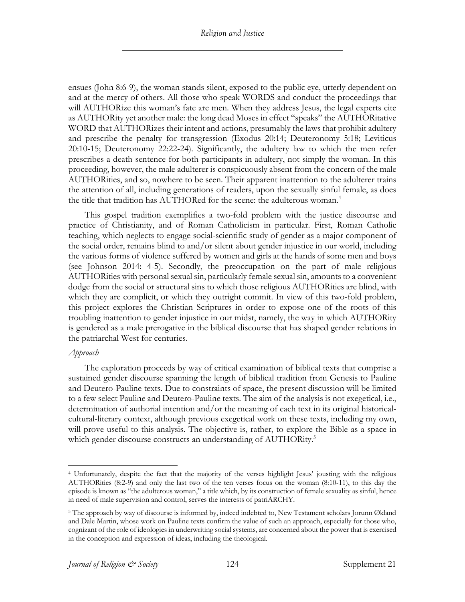ensues (John 8:6-9), the woman stands silent, exposed to the public eye, utterly dependent on and at the mercy of others. All those who speak WORDS and conduct the proceedings that will AUTHORize this woman's fate are men. When they address Jesus, the legal experts cite as AUTHORity yet another male: the long dead Moses in effect "speaks" the AUTHORitative WORD that AUTHORizes their intent and actions, presumably the laws that prohibit adultery and prescribe the penalty for transgression (Exodus 20:14; Deuteronomy 5:18; Leviticus 20:10-15; Deuteronomy 22:22-24). Significantly, the adultery law to which the men refer prescribes a death sentence for both participants in adultery, not simply the woman. In this proceeding, however, the male adulterer is conspicuously absent from the concern of the male AUTHORities, and so, nowhere to be seen. Their apparent inattention to the adulterer trains the attention of all, including generations of readers, upon the sexually sinful female, as does the title that tradition has AUTHORed for the scene: the adulterous woman.<sup>4</sup>

This gospel tradition exemplifies a two-fold problem with the justice discourse and practice of Christianity, and of Roman Catholicism in particular. First, Roman Catholic teaching, which neglects to engage social-scientific study of gender as a major component of the social order, remains blind to and/or silent about gender injustice in our world, including the various forms of violence suffered by women and girls at the hands of some men and boys (see Johnson 2014: 4-5). Secondly, the preoccupation on the part of male religious AUTHORities with personal sexual sin, particularly female sexual sin, amounts to a convenient dodge from the social or structural sins to which those religious AUTHORities are blind, with which they are complicit, or which they outright commit. In view of this two-fold problem, this project explores the Christian Scriptures in order to expose one of the roots of this troubling inattention to gender injustice in our midst, namely, the way in which AUTHORity is gendered as a male prerogative in the biblical discourse that has shaped gender relations in the patriarchal West for centuries.

## *Approach*

The exploration proceeds by way of critical examination of biblical texts that comprise a sustained gender discourse spanning the length of biblical tradition from Genesis to Pauline and Deutero-Pauline texts. Due to constraints of space, the present discussion will be limited to a few select Pauline and Deutero-Pauline texts. The aim of the analysis is not exegetical, i.e., determination of authorial intention and/or the meaning of each text in its original historicalcultural-literary context, although previous exegetical work on these texts, including my own, will prove useful to this analysis. The objective is, rather, to explore the Bible as a space in which gender discourse constructs an understanding of AUTHORity.<sup>5</sup>

<sup>4</sup> Unfortunately, despite the fact that the majority of the verses highlight Jesus' jousting with the religious AUTHORities (8:2-9) and only the last two of the ten verses focus on the woman (8:10-11), to this day the episode is known as "the adulterous woman," a title which, by its construction of female sexuality as sinful, hence in need of male supervision and control, serves the interests of patriARCHY.

<sup>5</sup> The approach by way of discourse is informed by, indeed indebted to, New Testament scholars Jorunn Økland and Dale Martin, whose work on Pauline texts confirm the value of such an approach, especially for those who, cognizant of the role of ideologies in underwriting social systems, are concerned about the power that is exercised in the conception and expression of ideas, including the theological.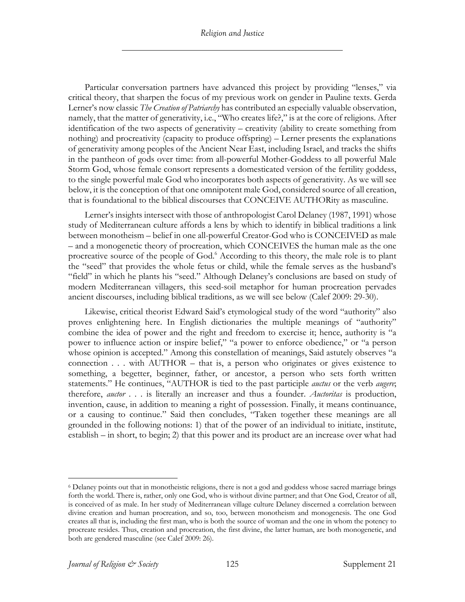*Religion and Justice*

Particular conversation partners have advanced this project by providing "lenses," via critical theory, that sharpen the focus of my previous work on gender in Pauline texts. Gerda Lerner's now classic *The Creation of Patriarchy* has contributed an especially valuable observation, namely, that the matter of generativity, i.e., "Who creates life?," is at the core of religions. After identification of the two aspects of generativity – creativity (ability to create something from nothing) and procreativity (capacity to produce offspring) – Lerner presents the explanations of generativity among peoples of the Ancient Near East, including Israel, and tracks the shifts in the pantheon of gods over time: from all-powerful Mother-Goddess to all powerful Male Storm God, whose female consort represents a domesticated version of the fertility goddess, to the single powerful male God who incorporates both aspects of generativity. As we will see below, it is the conception of that one omnipotent male God, considered source of all creation, that is foundational to the biblical discourses that CONCEIVE AUTHORity as masculine.

Lerner's insights intersect with those of anthropologist Carol Delaney (1987, 1991) whose study of Mediterranean culture affords a lens by which to identify in biblical traditions a link between monotheism – belief in one all-powerful Creator-God who is CONCEIVED as male – and a monogenetic theory of procreation, which CONCEIVES the human male as the one procreative source of the people of God.<sup>6</sup> According to this theory, the male role is to plant the "seed" that provides the whole fetus or child, while the female serves as the husband's "field" in which he plants his "seed." Although Delaney's conclusions are based on study of modern Mediterranean villagers, this seed-soil metaphor for human procreation pervades ancient discourses, including biblical traditions, as we will see below (Calef 2009: 29-30).

Likewise, critical theorist Edward Said's etymological study of the word "authority" also proves enlightening here. In English dictionaries the multiple meanings of "authority" combine the idea of power and the right and freedom to exercise it; hence, authority is "a power to influence action or inspire belief," "a power to enforce obedience," or "a person whose opinion is accepted." Among this constellation of meanings, Said astutely observes "a connection . . . with AUTHOR – that is, a person who originates or gives existence to something, a begetter, beginner, father, or ancestor, a person who sets forth written statements." He continues, "AUTHOR is tied to the past participle *auctus* or the verb *augere*; therefore, *auctor* . . . is literally an increaser and thus a founder. *Auctoritas* is production, invention, cause, in addition to meaning a right of possession. Finally, it means continuance, or a causing to continue." Said then concludes, "Taken together these meanings are all grounded in the following notions: 1) that of the power of an individual to initiate, institute, establish – in short, to begin; 2) that this power and its product are an increase over what had

<sup>6</sup> Delaney points out that in monotheistic religions, there is not a god and goddess whose sacred marriage brings forth the world. There is, rather, only one God, who is without divine partner; and that One God, Creator of all, is conceived of as male. In her study of Mediterranean village culture Delaney discerned a correlation between divine creation and human procreation, and so, too, between monotheism and monogenesis. The one God creates all that is, including the first man, who is both the source of woman and the one in whom the potency to procreate resides. Thus, creation and procreation, the first divine, the latter human, are both monogenetic, and both are gendered masculine (see Calef 2009: 26).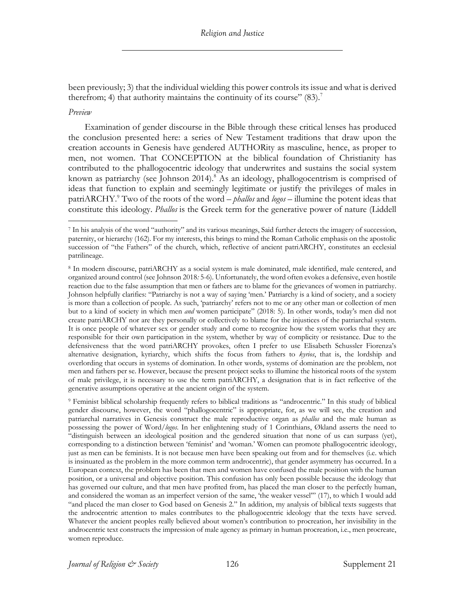been previously; 3) that the individual wielding this power controls its issue and what is derived therefrom; 4) that authority maintains the continuity of its course"  $(83)$ .<sup>7</sup>

#### *Preview*

Examination of gender discourse in the Bible through these critical lenses has produced the conclusion presented here: a series of New Testament traditions that draw upon the creation accounts in Genesis have gendered AUTHORity as masculine, hence, as proper to men, not women. That CONCEPTION at the biblical foundation of Christianity has contributed to the phallogocentric ideology that underwrites and sustains the social system known as patriarchy (see Johnson 2014). <sup>8</sup> As an ideology, phallogocentrism is comprised of ideas that function to explain and seemingly legitimate or justify the privileges of males in patriARCHY.9 Two of the roots of the word – *phallos* and *logos* – illumine the potent ideas that constitute this ideology. *Phallos* is the Greek term for the generative power of nature (Liddell

<sup>7</sup> In his analysis of the word "authority" and its various meanings, Said further detects the imagery of succession, paternity, or hierarchy (162). For my interests, this brings to mind the Roman Catholic emphasis on the apostolic succession of "the Fathers" of the church, which, reflective of ancient patriARCHY, constitutes an ecclesial patrilineage.

<sup>8</sup> In modern discourse, patriARCHY as a social system is male dominated, male identified, male centered, and organized around control (see Johnson 2018*:* 5-6). Unfortunately, the word often evokes a defensive, even hostile reaction due to the false assumption that men or fathers are to blame for the grievances of women in patriarchy. Johnson helpfully clarifies: "Patriarchy is not a way of saying 'men.' Patriarchy is a kind of society, and a society is more than a collection of people. As such, 'patriarchy' refers not to me or any other man or collection of men but to a kind of society in which men *and* women participate" (2018: 5). In other words, today's men did not create patriARCHY nor are they personally or collectively to blame for the injustices of the patriarchal system. It is once people of whatever sex or gender study and come to recognize how the system works that they are responsible for their own participation in the system, whether by way of complicity or resistance. Due to the defensiveness that the word patriARCHY provokes, often I prefer to use Elisabeth Schussler Fiorenza's alternative designation, kyriarchy, which shifts the focus from fathers to *kyrios*, that is, the lordship and overlording that occurs in systems of domination. In other words, systems of domination are the problem, not men and fathers per se. However, because the present project seeks to illumine the historical roots of the system of male privilege, it is necessary to use the term patriARCHY, a designation that is in fact reflective of the generative assumptions operative at the ancient origin of the system.

<sup>9</sup> Feminist biblical scholarship frequently refers to biblical traditions as "androcentric." In this study of biblical gender discourse, however, the word "phallogocentric" is appropriate, for, as we will see, the creation and patriarchal narratives in Genesis construct the male reproductive organ as *phallos* and the male human as possessing the power of Word/*logos*. In her enlightening study of 1 Corinthians, Økland asserts the need to "distinguish between an ideological position and the gendered situation that none of us can surpass (yet), corresponding to a distinction between 'feminist' and 'woman.' Women can promote phallogocentric ideology, just as men can be feminists. It is not because men have been speaking out from and for themselves (i.e. which is insinuated as the problem in the more common term androcentric), that gender asymmetry has occurred. In a European context, the problem has been that men and women have confused the male position with the human position, or a universal and objective position. This confusion has only been possible because the ideology that has governed our culture, and that men have profited from, has placed the man closer to the perfectly human, and considered the woman as an imperfect version of the same, 'the weaker vessel'" (17), to which I would add "and placed the man closer to God based on Genesis 2." In addition, my analysis of biblical texts suggests that the androcentric attention to males contributes to the phallogocentric ideology that the texts have served. Whatever the ancient peoples really believed about women's contribution to procreation, her invisibility in the androcentric text constructs the impression of male agency as primary in human procreation, i.e., men procreate, women reproduce.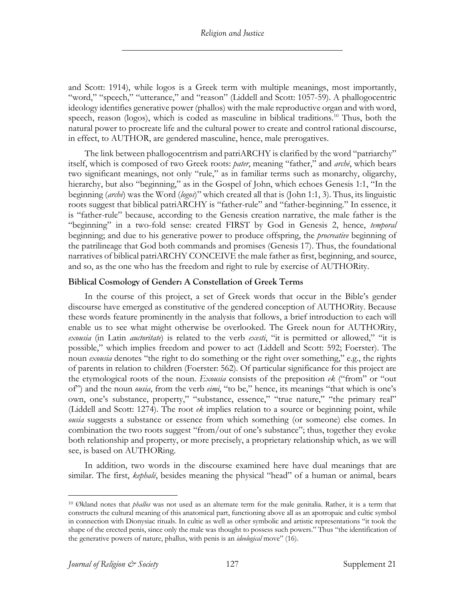and Scott: 1914), while logos is a Greek term with multiple meanings, most importantly, "word," "speech," "utterance," and "reason" (Liddell and Scott: 1057-59). A phallogocentric ideology identifies generative power (phallos) with the male reproductive organ and with word, speech, reason (logos), which is coded as masculine in biblical traditions.<sup>10</sup> Thus, both the natural power to procreate life and the cultural power to create and control rational discourse, in effect, to AUTHOR, are gendered masculine, hence, male prerogatives.

The link between phallogocentrism and patriARCHY is clarified by the word "patriarchy" itself, which is composed of two Greek roots: *pater*, meaning "father," and *archē*, which bears two significant meanings, not only "rule," as in familiar terms such as monarchy, oligarchy, hierarchy, but also "beginning," as in the Gospel of John, which echoes Genesis 1:1, "In the beginning (*archē*) was the Word (*logos*)" which created all that is (John 1:1, 3). Thus, its linguistic roots suggest that biblical patriARCHY is "father-rule" and "father-beginning." In essence, it is "father-rule" because, according to the Genesis creation narrative, the male father is the "beginning" in a two-fold sense: created FIRST by God in Genesis 2, hence, *temporal* beginning; and due to his generative power to produce offspring, the *procreative* beginning of the patrilineage that God both commands and promises (Genesis 17). Thus, the foundational narratives of biblical patriARCHY CONCEIVE the male father as first, beginning, and source, and so, as the one who has the freedom and right to rule by exercise of AUTHORity.

## **Biblical Cosmology of Gender: A Constellation of Greek Terms**

In the course of this project, a set of Greek words that occur in the Bible's gender discourse have emerged as constitutive of the gendered conception of AUTHORity. Because these words feature prominently in the analysis that follows, a brief introduction to each will enable us to see what might otherwise be overlooked. The Greek noun for AUTHORity, *exousia* (in Latin *auctoritate*) is related to the verb *exesti*, "it is permitted or allowed," "it is possible," which implies freedom and power to act (Liddell and Scott: 592; Foerster). The noun *exousia* denotes "the right to do something or the right over something," e.g., the rights of parents in relation to children (Foerster: 562). Of particular significance for this project are the etymological roots of the noun. *Exousia* consists of the preposition *ek* ("from" or "out of") and the noun *ousia*, from the verb *eimi*, "to be," hence, its meanings "that which is one's own, one's substance, property," "substance, essence," "true nature," "the primary real" (Liddell and Scott: 1274). The root *ek* implies relation to a source or beginning point, while *ousia* suggests a substance or essence from which something (or someone) else comes. In combination the two roots suggest "from/out of one's substance"; thus, together they evoke both relationship and property, or more precisely, a proprietary relationship which, as we will see, is based on AUTHORing.

In addition, two words in the discourse examined here have dual meanings that are similar. The first, *kephalē*, besides meaning the physical "head" of a human or animal, bears

<sup>10</sup> Økland notes that *phallos* was not used as an alternate term for the male genitalia. Rather, it is a term that constructs the cultural meaning of this anatomical part, functioning above all as an apotropaic and cultic symbol in connection with Dionysiac rituals. In cultic as well as other symbolic and artistic representations "it took the shape of the erected penis, since only the male was thought to possess such powers." Thus "the identification of the generative powers of nature, phallus, with penis is an *ideological* move" (16).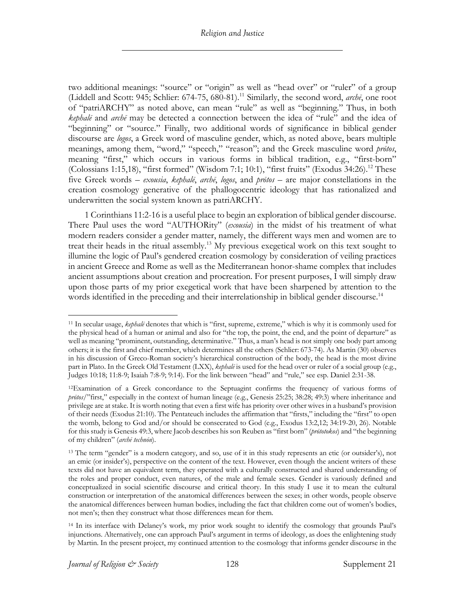two additional meanings: "source" or "origin" as well as "head over" or "ruler" of a group (Liddell and Scott: 945; Schlier: 674-75, 680-81).11 Similarly, the second word, *archē*, one root of "patriARCHY" as noted above, can mean "rule" as well as "beginning." Thus, in both *kephalē* and *archē* may be detected a connection between the idea of "rule" and the idea of "beginning" or "source." Finally, two additional words of significance in biblical gender discourse are *logos*, a Greek word of masculine gender, which, as noted above, bears multiple meanings, among them, "word," "speech," "reason"; and the Greek masculine word *prōtos*, meaning "first," which occurs in various forms in biblical tradition, e.g., "first-born" (Colossians 1:15,18), "first formed" (Wisdom 7:1; 10:1), "first fruits" (Exodus 34:26).<sup>12</sup> These five Greek words – *exousia*, *kephalē*, *archē*, *logos*, and *prōtos* – are major constellations in the creation cosmology generative of the phallogocentric ideology that has rationalized and underwritten the social system known as patriARCHY.

1 Corinthians 11:2-16 is a useful place to begin an exploration of biblical gender discourse. There Paul uses the word "AUTHORity" (*exousia*) in the midst of his treatment of what modern readers consider a gender matter, namely, the different ways men and women are to treat their heads in the ritual assembly.<sup>13</sup> My previous exegetical work on this text sought to illumine the logic of Paul's gendered creation cosmology by consideration of veiling practices in ancient Greece and Rome as well as the Mediterranean honor-shame complex that includes ancient assumptions about creation and procreation. For present purposes, I will simply draw upon those parts of my prior exegetical work that have been sharpened by attention to the words identified in the preceding and their interrelationship in biblical gender discourse.<sup>14</sup>

<sup>11</sup> In secular usage, *kephalē* denotes that which is "first, supreme, extreme," which is why it is commonly used for the physical head of a human or animal and also for "the top, the point, the end, and the point of departure" as well as meaning "prominent, outstanding, determinative." Thus, a man's head is not simply one body part among others; it is the first and chief member, which determines all the others (Schlier: 673-74). As Martin (30) observes in his discussion of Greco-Roman society's hierarchical construction of the body, the head is the most divine part in Plato. In the Greek Old Testament (LXX), *kephalē* is used for the head over or ruler of a social group (e.g., Judges 10:18; 11:8-9; Isaiah 7:8-9; 9:14). For the link between "head" and "rule," see esp. Daniel 2:31-38.

<sup>12</sup>Examination of a Greek concordance to the Septuagint confirms the frequency of various forms of *prōtos*/"first," especially in the context of human lineage (e.g., Genesis 25:25; 38:28; 49:3) where inheritance and privilege are at stake. It is worth noting that even a first wife has priority over other wives in a husband's provision of their needs (Exodus 21:10). The Pentateuch includes the affirmation that "firsts," including the "first" to open the womb, belong to God and/or should be consecrated to God (e.g., Exodus 13:2,12; 34:19-20, 26). Notable for this study is Genesis 49:3, where Jacob describes his son Reuben as "first born" (*prōtotokos*) and "the beginning of my children" (*archē technōn*).

<sup>&</sup>lt;sup>13</sup> The term "gender" is a modern category, and so, use of it in this study represents an etic (or outsider's), not an emic (or insider's), perspective on the content of the text. However, even though the ancient writers of these texts did not have an equivalent term, they operated with a culturally constructed and shared understanding of the roles and proper conduct, even natures, of the male and female sexes. Gender is variously defined and conceptualized in social scientific discourse and critical theory. In this study I use it to mean the cultural construction or interpretation of the anatomical differences between the sexes; in other words, people observe the anatomical differences between human bodies, including the fact that children come out of women's bodies, not men's; then they construct what those differences mean for them.

<sup>14</sup> In its interface with Delaney's work, my prior work sought to identify the cosmology that grounds Paul's injunctions. Alternatively, one can approach Paul's argument in terms of ideology, as does the enlightening study by Martin. In the present project, my continued attention to the cosmology that informs gender discourse in the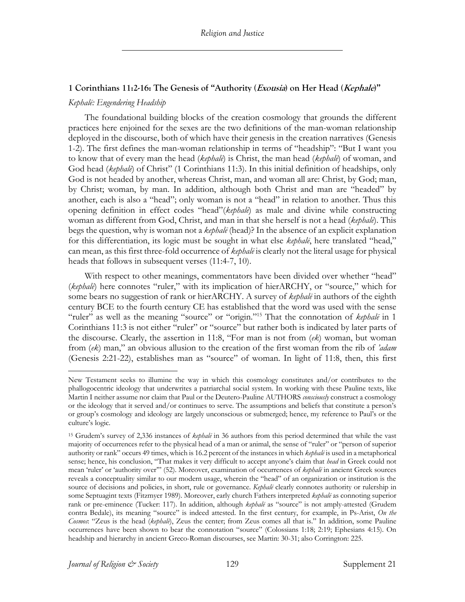## **1 Corinthians 11:2-16: The Genesis of "Authority (Exousia) on Her Head (Kephale)"**

## *Kephalē: Engendering Headship*

The foundational building blocks of the creation cosmology that grounds the different practices here enjoined for the sexes are the two definitions of the man-woman relationship deployed in the discourse, both of which have their genesis in the creation narratives (Genesis 1-2). The first defines the man-woman relationship in terms of "headship": "But I want you to know that of every man the head (*kephalē*) is Christ, the man head (*kephalē*) of woman, and God head (*kephalē*) of Christ" (1 Corinthians 11:3). In this initial definition of headships, only God is not headed by another, whereas Christ, man, and woman all are: Christ, by God; man, by Christ; woman, by man. In addition, although both Christ and man are "headed" by another, each is also a "head"; only woman is not a "head" in relation to another. Thus this opening definition in effect codes "head"(*kephalē*) as male and divine while constructing woman as different from God, Christ, and man in that she herself is not a head (*kephalē*). This begs the question, why is woman not a *kephalē* (head)? In the absence of an explicit explanation for this differentiation, its logic must be sought in what else *kephalē*, here translated "head," can mean, as this first three-fold occurrence of *kephalē* is clearly not the literal usage for physical heads that follows in subsequent verses (11:4-7, 10).

With respect to other meanings, commentators have been divided over whether "head" (*kephalē*) here connotes "ruler," with its implication of hierARCHY, or "source," which for some bears no suggestion of rank or hierARCHY. A survey of *kephalē* in authors of the eighth century BCE to the fourth century CE has established that the word was used with the sense "ruler" as well as the meaning "source" or "origin."15 That the connotation of *kephalē* in 1 Corinthians 11:3 is not either "ruler" or "source" but rather both is indicated by later parts of the discourse. Clearly, the assertion in 11:8, "For man is not from (*ek*) woman, but woman from (*ek*) man," an obvious allusion to the creation of the first woman from the rib of *'adam* (Genesis 2:21-22), establishes man as "source" of woman. In light of 11:8, then, this first

New Testament seeks to illumine the way in which this cosmology constitutes and/or contributes to the phallogocentric ideology that underwrites a patriarchal social system. In working with these Pauline texts, like Martin I neither assume nor claim that Paul or the Deutero-Pauline AUTHORS *consciously* construct a cosmology or the ideology that it served and/or continues to serve. The assumptions and beliefs that constitute a person's or group's cosmology and ideology are largely unconscious or submerged; hence, my reference to Paul's or the culture's logic.

<sup>15</sup> Grudem's survey of 2,336 instances of *kephalē* in 36 authors from this period determined that while the vast majority of occurrences refer to the physical head of a man or animal, the sense of "ruler" or "person of superior authority or rank" occurs 49 times, which is 16.2 percent of the instances in which *kephalē* is used in a metaphorical sense; hence, his conclusion, "That makes it very difficult to accept anyone's claim that *head* in Greek could not mean 'ruler' or 'authority over'" (52). Moreover, examination of occurrences of *kephalē* in ancient Greek sources reveals a conceptuality similar to our modern usage, wherein the "head" of an organization or institution is the source of decisions and policies, in short, rule or governance. *Kephalē* clearly connotes authority or rulership in some Septuagint texts (Fitzmyer 1989). Moreover, early church Fathers interpreted *kephalē* as connoting superior rank or pre-eminence (Tucker: 117). In addition, although *kephalē* as "source" is not amply-attested (Grudem contra Bedale), its meaning "source" is indeed attested. In the first century, for example, in Ps-Arist, *On the Cosmos*: "Zeus is the head (*kephalē*), Zeus the center; from Zeus comes all that is." In addition, some Pauline occurrences have been shown to bear the connotation "source" (Colossians 1:18; 2:19; Ephesians 4:15). On headship and hierarchy in ancient Greco-Roman discourses, see Martin: 30-31; also Corrington: 225.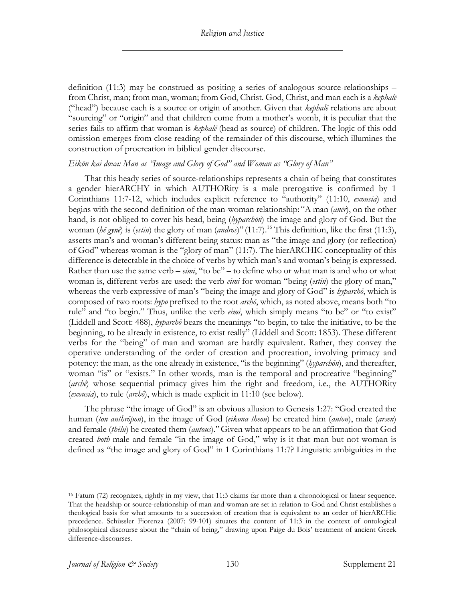definition (11:3) may be construed as positing a series of analogous source-relationships – from Christ, man; from man, woman; from God, Christ. God, Christ, and man each is a *kephalē* ("head") because each is a source or origin of another. Given that *kephalē* relations are about "sourcing" or "origin" and that children come from a mother's womb, it is peculiar that the series fails to affirm that woman is *kephalē* (head as source) of children. The logic of this odd omission emerges from close reading of the remainder of this discourse, which illumines the construction of procreation in biblical gender discourse.

## *Eikōn kai doxa: Man as "Image and Glory of God" and Woman as "Glory of Man"*

That this heady series of source-relationships represents a chain of being that constitutes a gender hierARCHY in which AUTHORity is a male prerogative is confirmed by 1 Corinthians 11:7-12, which includes explicit reference to "authority" (11:10, *exousia*) and begins with the second definition of the man-woman relationship: "A man (*anēr*), on the other hand, is not obliged to cover his head, being (*hyparchōn*) the image and glory of God. But the woman (*hē gynē*) is (*estin*) the glory of man (*andros*)" (11:7).16 This definition, like the first (11:3), asserts man's and woman's different being status: man as "the image and glory (or reflection) of God" whereas woman is the "glory of man" (11:7). The hierARCHIC conceptuality of this difference is detectable in the choice of verbs by which man's and woman's being is expressed. Rather than use the same verb – *eimi*, "to be" – to define who or what man is and who or what woman is, different verbs are used: the verb *eimi* for woman "being (*estin*) the glory of man," whereas the verb expressive of man's "being the image and glory of God" is *hyparchō*, which is composed of two roots: *hypo* prefixed to the root *archō*, which, as noted above, means both "to rule" and "to begin." Thus, unlike the verb *eimi*, which simply means "to be" or "to exist" (Liddell and Scott: 488), *hyparchō* bears the meanings "to begin, to take the initiative, to be the beginning, to be already in existence, to exist really" (Liddell and Scott: 1853). These different verbs for the "being" of man and woman are hardly equivalent. Rather, they convey the operative understanding of the order of creation and procreation, involving primacy and potency: the man, as the one already in existence, "is the beginning" (*hyparchōn*), and thereafter, woman "is" or "exists." In other words, man is the temporal and procreative "beginning" (*archē*) whose sequential primacy gives him the right and freedom, i.e., the AUTHORity (*exousia*), to rule (*archō*), which is made explicit in 11:10 (see below).

The phrase "the image of God" is an obvious allusion to Genesis 1:27: "God created the human (*ton anthrōpon*), in the image of God (*eikona theou*) he created him (*auton*), male (*arsen*) and female (*thēlu*) he created them (*autous*)."Given what appears to be an affirmation that God created *both* male and female "in the image of God," why is it that man but not woman is defined as "the image and glory of God" in 1 Corinthians 11:7? Linguistic ambiguities in the

<sup>16</sup> Fatum (72) recognizes, rightly in my view, that 11:3 claims far more than a chronological or linear sequence. That the headship or source-relationship of man and woman are set in relation to God and Christ establishes a theological basis for what amounts to a succession of creation that is equivalent to an order of hierARCHic precedence. Schüssler Fiorenza (2007: 99-101) situates the content of 11:3 in the context of ontological philosophical discourse about the "chain of being," drawing upon Paige du Bois' treatment of ancient Greek difference-discourses.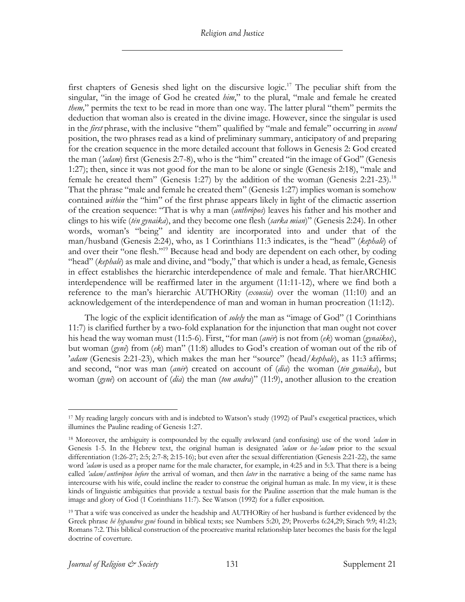first chapters of Genesis shed light on the discursive logic.<sup>17</sup> The peculiar shift from the singular, "in the image of God he created *him*," to the plural, "male and female he created *them,*" permits the text to be read in more than one way. The latter plural "them" permits the deduction that woman also is created in the divine image. However, since the singular is used in the *first* phrase, with the inclusive "them" qualified by "male and female" occurring in *second* position, the two phrases read as a kind of preliminary summary, anticipatory of and preparing for the creation sequence in the more detailed account that follows in Genesis 2: God created the man (*'adam*) first (Genesis 2:7-8), who is the "him" created "in the image of God" (Genesis 1:27); then, since it was not good for the man to be alone or single (Genesis 2:18), "male and female he created them" (Genesis 1:27) by the addition of the woman (Genesis 2:21-23).<sup>18</sup> That the phrase "male and female he created them" (Genesis 1:27) implies woman is somehow contained *within* the "him" of the first phrase appears likely in light of the climactic assertion of the creation sequence: "That is why a man (*anthrōpos*) leaves his father and his mother and clings to his wife (*tēn gynaika*), and they become one flesh (*sarka mian*)" (Genesis 2:24). In other words, woman's "being" and identity are incorporated into and under that of the man/husband (Genesis 2:24), who, as 1 Corinthians 11:3 indicates, is the "head" (*kephalē*) of and over their "one flesh."<sup>19</sup> Because head and body are dependent on each other, by coding "head" (*kephalè*) as male and divine, and "body," that which is under a head, as female, Genesis in effect establishes the hierarchic interdependence of male and female. That hierARCHIC interdependence will be reaffirmed later in the argument (11:11-12), where we find both a reference to the man's hierarchic AUTHORity (*exousia*) over the woman (11:10) and an acknowledgement of the interdependence of man and woman in human procreation (11:12).

The logic of the explicit identification of *solely* the man as "image of God" (1 Corinthians 11:7) is clarified further by a two-fold explanation for the injunction that man ought not cover his head the way woman must (11:5-6). First, "for man (*anēr*) is not from (*ek*) woman (*gynaikos*), but woman (*gynē*) from (*ek*) man" (11:8) alludes to God's creation of woman out of the rib of '*adam* (Genesis 2:21-23), which makes the man her "source" (head/*kephale*), as 11:3 affirms; and second, "nor was man (*anēr*) created on account of (*dia*) the woman (*tēn gynaika*), but woman (*gynē*) on account of (*dia*) the man (*ton andra*)" (11:9), another allusion to the creation

<sup>17</sup> My reading largely concurs with and is indebted to Watson's study (1992) of Paul's exegetical practices, which illumines the Pauline reading of Genesis 1:27.

<sup>18</sup> Moreover, the ambiguity is compounded by the equally awkward (and confusing) use of the word *'adam* in Genesis 1-5. In the Hebrew text, the original human is designated *'adam* or *ha-'adam* prior to the sexual differentiation (1:26-27; 2:5; 2:7-8; 2:15-16); but even after the sexual differentiation (Genesis 2:21-22), the same word *'adam* is used as a proper name for the male character, for example, in 4:25 and in 5:3. That there is a being called *'adam*/*anthrōpon before* the arrival of woman, and then *later* in the narrative a being of the same name has intercourse with his wife, could incline the reader to construe the original human as male. In my view, it is these kinds of linguistic ambiguities that provide a textual basis for the Pauline assertion that the male human is the image and glory of God (1 Corinthians 11:7). See Watson (1992) for a fuller exposition.

<sup>&</sup>lt;sup>19</sup> That a wife was conceived as under the headship and AUTHORity of her husband is further evidenced by the Greek phrase *hē hypandros gynē* found in biblical texts; see Numbers 5:20, 29; Proverbs 6:24,29; Sirach 9:9; 41:23; Romans 7:2. This biblical construction of the procreative marital relationship later becomes the basis for the legal doctrine of coverture.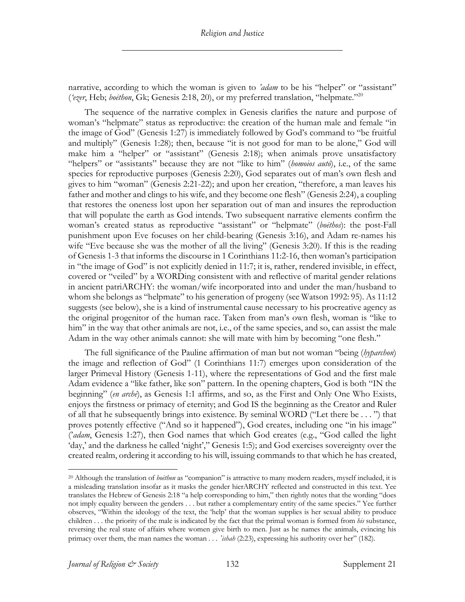narrative, according to which the woman is given to *'adam* to be his "helper" or "assistant" (*'ezer*, Heb; *boēthon*, Gk; Genesis 2:18, 20), or my preferred translation, "helpmate."20

The sequence of the narrative complex in Genesis clarifies the nature and purpose of woman's "helpmate" status as reproductive: the creation of the human male and female "in the image of God" (Genesis 1:27) is immediately followed by God's command to "be fruitful and multiply" (Genesis 1:28); then, because "it is not good for man to be alone," God will make him a "helper" or "assistant" (Genesis 2:18); when animals prove unsatisfactory "helpers" or "assistants" because they are not "like to him" (*homoios autō*), i.e., of the same species for reproductive purposes (Genesis 2:20), God separates out of man's own flesh and gives to him "woman" (Genesis 2:21-22); and upon her creation, "therefore, a man leaves his father and mother and clings to his wife, and they become one flesh" (Genesis 2:24), a coupling that restores the oneness lost upon her separation out of man and insures the reproduction that will populate the earth as God intends. Two subsequent narrative elements confirm the woman's created status as reproductive "assistant" or "helpmate" (*boēthos*): the post-Fall punishment upon Eve focuses on her child-bearing (Genesis 3:16), and Adam re-names his wife "Eve because she was the mother of all the living" (Genesis 3:20). If this is the reading of Genesis 1-3 that informs the discourse in 1 Corinthians 11:2-16, then woman's participation in "the image of God" is not explicitly denied in 11:7; it is, rather, rendered invisible, in effect, covered or "veiled" by a WORDing consistent with and reflective of marital gender relations in ancient patriARCHY: the woman/wife incorporated into and under the man/husband to whom she belongs as "helpmate" to his generation of progeny (see Watson 1992: 95). As 11:12 suggests (see below), she is a kind of instrumental cause necessary to his procreative agency as the original progenitor of the human race. Taken from man's own flesh, woman is "like to him" in the way that other animals are not, i.e., of the same species, and so, can assist the male Adam in the way other animals cannot: she will mate with him by becoming "one flesh."

The full significance of the Pauline affirmation of man but not woman "being (*hyparchon*) the image and reflection of God" (1 Corinthians 11:7) emerges upon consideration of the larger Primeval History (Genesis 1-11), where the representations of God and the first male Adam evidence a "like father, like son" pattern. In the opening chapters, God is both "IN the beginning" (*en archē*), as Genesis 1:1 affirms, and so, as the First and Only One Who Exists, enjoys the firstness or primacy of eternity; and God IS the beginning as the Creator and Ruler of all that he subsequently brings into existence. By seminal WORD ("Let there be . . . ") that proves potently effective ("And so it happened"), God creates, including one "in his image" ('*adam*, Genesis 1:27), then God names that which God creates (e.g., "God called the light 'day,' and the darkness he called 'night'," Genesis 1:5); and God exercises sovereignty over the created realm, ordering it according to his will, issuing commands to that which he has created,

<sup>20</sup> Although the translation of *boēthon* as "companion" is attractive to many modern readers, myself included, it is a misleading translation insofar as it masks the gender hierARCHY reflected and constructed in this text. Yee translates the Hebrew of Genesis 2:18 "a help corresponding to him," then rightly notes that the wording "does not imply equality between the genders . . . but rather a complementary entity of the same species." Yee further observes, "Within the ideology of the text, the 'help' that the woman supplies is her sexual ability to produce children . . . the priority of the male is indicated by the fact that the primal woman is formed from *his* substance, reversing the real state of affairs where women give birth to men. Just as he names the animals, evincing his primacy over them, the man names the woman . . . *'ishah* (2:23), expressing his authority over her" (182).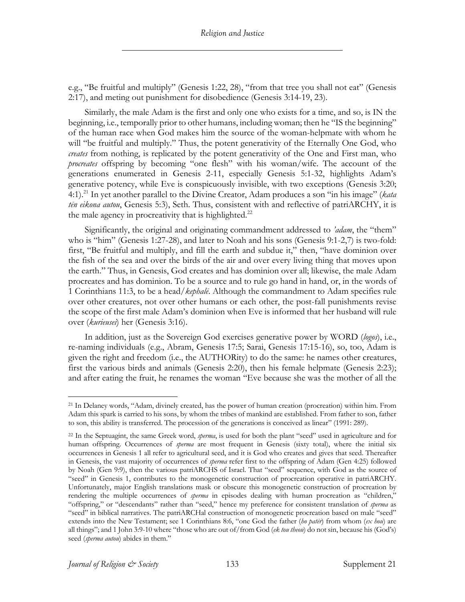e.g., "Be fruitful and multiply" (Genesis 1:22, 28), "from that tree you shall not eat" (Genesis 2:17), and meting out punishment for disobedience (Genesis 3:14-19, 23).

Similarly, the male Adam is the first and only one who exists for a time, and so, is IN the beginning, i.e., temporally prior to other humans, including woman; then he "IS the beginning" of the human race when God makes him the source of the woman-helpmate with whom he will "be fruitful and multiply." Thus, the potent generativity of the Eternally One God, who *creates* from nothing, is replicated by the potent generativity of the One and First man, who *procreates* offspring by becoming "one flesh" with his woman/wife. The account of the generations enumerated in Genesis 2-11, especially Genesis 5:1-32, highlights Adam's generative potency, while Eve is conspicuously invisible, with two exceptions (Genesis 3:20; 4:1).21 In yet another parallel to the Divine Creator, Adam produces a son "in his image" (*kata tēn eikona autou*, Genesis 5:3), Seth. Thus, consistent with and reflective of patriARCHY, it is the male agency in procreativity that is highlighted. $^{22}$ 

Significantly, the original and originating commandment addressed to *'adam*, the "them" who is "him" (Genesis 1:27-28), and later to Noah and his sons (Genesis 9:1-2,7) is two-fold: first, "Be fruitful and multiply, and fill the earth and subdue it," then, "have dominion over the fish of the sea and over the birds of the air and over every living thing that moves upon the earth." Thus, in Genesis, God creates and has dominion over all; likewise, the male Adam procreates and has dominion. To be a source and to rule go hand in hand, or, in the words of 1 Corinthians 11:3, to be a head/*kephalē*. Although the commandment to Adam specifies rule over other creatures, not over other humans or each other, the post-fall punishments revise the scope of the first male Adam's dominion when Eve is informed that her husband will rule over (*kurieusei*) her (Genesis 3:16).

In addition, just as the Sovereign God exercises generative power by WORD (*logos*), i.e., re-naming individuals (e.g., Abram, Genesis 17:5; Sarai, Genesis 17:15-16), so, too, Adam is given the right and freedom (i.e., the AUTHORity) to do the same: he names other creatures, first the various birds and animals (Genesis 2:20), then his female helpmate (Genesis 2:23); and after eating the fruit, he renames the woman "Eve because she was the mother of all the

<sup>21</sup> In Delaney words, "Adam, divinely created, has the power of human creation (procreation) within him. From Adam this spark is carried to his sons, by whom the tribes of mankind are established. From father to son, father to son, this ability is transferred. The procession of the generations is conceived as linear" (1991: 289).

<sup>22</sup> In the Septuagint, the same Greek word, *sperma*, is used for both the plant "seed" used in agriculture and for human offspring. Occurrences of *sperma* are most frequent in Genesis (sixty total), where the initial six occurrences in Genesis 1 all refer to agricultural seed, and it is God who creates and gives that seed. Thereafter in Genesis, the vast majority of occurrences of *sperma* refer first to the offspring of Adam (Gen 4:25) followed by Noah (Gen 9:9), then the various patriARCHS of Israel. That "seed" sequence, with God as the source of "seed" in Genesis 1, contributes to the monogenetic construction of procreation operative in patriARCHY. Unfortunately, major English translations mask or obscure this monogenetic construction of procreation by rendering the multiple occurrences of *sperma* in episodes dealing with human procreation as "children," "offspring," or "descendants" rather than "seed," hence my preference for consistent translation of *sperma* as "seed" in biblical narratives. The patriARCHal construction of monogenetic procreation based on male "seed" extends into the New Testament; see 1 Corinthians 8:6, "one God the father (*ho patēr*) from whom (*ex hou*) are all things"; and 1 John 3:9-10 where "those who are out of/from God (*ek tou theou*) do not sin, because his (God's) seed (*sperma autou*) abides in them."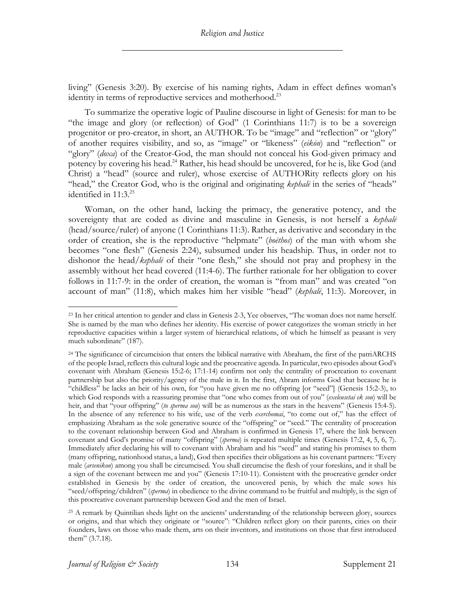living" (Genesis 3:20). By exercise of his naming rights, Adam in effect defines woman's identity in terms of reproductive services and motherhood.<sup>23</sup>

To summarize the operative logic of Pauline discourse in light of Genesis: for man to be "the image and glory (or reflection) of God" (1 Corinthians 11:7) is to be a sovereign progenitor or pro-creator, in short, an AUTHOR. To be "image" and "reflection" or "glory" of another requires visibility, and so, as "image" or "likeness" (*eikōn*) and "reflection" or "glory" (*doxa*) of the Creator-God, the man should not conceal his God-given primacy and potency by covering his head.<sup>24</sup> Rather, his head should be uncovered, for he is, like God (and Christ) a "head" (source and ruler), whose exercise of AUTHORity reflects glory on his "head," the Creator God, who is the original and originating *kephal*<sup>*i*</sup> in the series of "heads" identified in  $11:3.^{25}$ 

Woman, on the other hand, lacking the primacy, the generative potency, and the sovereignty that are coded as divine and masculine in Genesis, is not herself a *kephalē* (head/source/ruler) of anyone (1 Corinthians 11:3). Rather, as derivative and secondary in the order of creation, she is the reproductive "helpmate" (*boēthos*) of the man with whom she becomes "one flesh" (Genesis 2:24), subsumed under his headship. Thus, in order not to dishonor the head/*kephalē* of their "one flesh," she should not pray and prophesy in the assembly without her head covered (11:4-6). The further rationale for her obligation to cover follows in 11:7-9: in the order of creation, the woman is "from man" and was created "on account of man" (11:8), which makes him her visible "head" (*kephalē*, 11:3). Moreover, in

<sup>&</sup>lt;sup>23</sup> In her critical attention to gender and class in Genesis 2-3, Yee observes, "The woman does not name herself. She is named by the man who defines her identity. His exercise of power categorizes the woman strictly in her reproductive capacities within a larger system of hierarchical relations, of which he himself as peasant is very much subordinate" (187).

<sup>24</sup> The significance of circumcision that enters the biblical narrative with Abraham, the first of the patriARCHS of the people Israel, reflects this cultural logic and the procreative agenda. In particular, two episodes about God's covenant with Abraham (Genesis 15:2-6; 17:1-14) confirm not only the centrality of procreation to covenant partnership but also the priority/agency of the male in it. In the first, Abram informs God that because he is "childless" he lacks an heir of his own, for "you have given me no offspring [or "seed"] (Genesis 15:2-3), to which God responds with a reassuring promise that "one who comes from out of you" (*exeleusetai ek sou*) will be heir, and that "your offspring" (*to sperma sou*) will be as numerous as the stars in the heavens" (Genesis 15:4-5). In the absence of any reference to his wife, use of the verb *exerchomai*, "to come out of," has the effect of emphasizing Abraham as the sole generative source of the "offspring" or "seed." The centrality of procreation to the covenant relationship between God and Abraham is confirmed in Genesis 17, where the link between covenant and God's promise of many "offspring" (*sperma*) is repeated multiple times (Genesis 17:2, 4, 5, 6, 7). Immediately after declaring his will to covenant with Abraham and his "seed" and stating his promises to them (many offspring, nationhood status, a land), God then specifies their obligations as his covenant partners: "Every male (*arsenikon*) among you shall be circumcised. You shall circumcise the flesh of your foreskins, and it shall be a sign of the covenant between me and you" (Genesis 17:10-11). Consistent with the procreative gender order established in Genesis by the order of creation, the uncovered penis, by which the male sows his "seed/offspring/children" (*sperma*) in obedience to the divine command to be fruitful and multiply, is the sign of this procreative covenant partnership between God and the men of Israel.

<sup>25</sup> A remark by Quintilian sheds light on the ancients' understanding of the relationship between glory, sources or origins, and that which they originate or "source": "Children reflect glory on their parents, cities on their founders, laws on those who made them, arts on their inventors, and institutions on those that first introduced them" (3.7.18).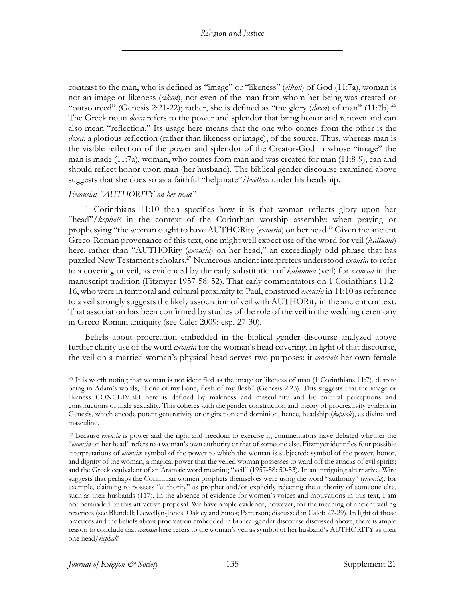contrast to the man, who is defined as "image" or "likeness" (*eikon*) of God (11:7a), woman is not an image or likeness (*eikon*), not even of the man from whom her being was created or "outsourced" (Genesis 2:21-22); rather, she is defined as "the glory (*doxa*) of man" (11:7b).<sup>26</sup> The Greek noun *doxa* refers to the power and splendor that bring honor and renown and can also mean "reflection." Its usage here means that the one who comes from the other is the *doxa*, a glorious reflection (rather than likeness or image), of the source. Thus, whereas man is the visible reflection of the power and splendor of the Creator-God in whose "image" the man is made (11:7a), woman, who comes from man and was created for man (11:8-9), can and should reflect honor upon man (her husband). The biblical gender discourse examined above suggests that she does so as a faithful "helpmate"/*boēthon* under his headship.

## *Exousia: "AUTHORITY on her head"*

1 Corinthians 11:10 then specifies how it is that woman reflects glory upon her "head"/*kephal*<sup>*i*</sup> in the context of the Corinthian worship assembly: when praying or prophesying "the woman ought to have AUTHORity (*exousia*) on her head." Given the ancient Greco-Roman provenance of this text, one might well expect use of the word for veil (*kalluma*) here, rather than "AUTHORity (*exousia*) on her head," an exceedingly odd phrase that has puzzled New Testament scholars.27 Numerous ancient interpreters understood *exousia* to refer to a covering or veil, as evidenced by the early substitution of *kalumma* (veil) for *exousia* in the manuscript tradition (Fitzmyer 1957-58: 52). That early commentators on 1 Corinthians 11:2- 16, who were in temporal and cultural proximity to Paul, construed *exousia* in 11:10 as reference to a veil strongly suggests the likely association of veil with AUTHORity in the ancient context. That association has been confirmed by studies of the role of the veil in the wedding ceremony in Greco-Roman antiquity (see Calef 2009: esp. 27-30).

Beliefs about procreation embedded in the biblical gender discourse analyzed above further clarify use of the word *exousia* for the woman's head covering. In light of that discourse, the veil on a married woman's physical head serves two purposes: it *conceals* her own female

 $^{26}$  It is worth noting that woman is not identified as the image or likeness of man (1 Corinthians 11:7), despite being in Adam's words, "bone of my bone, flesh of my flesh" (Genesis 2:23). This suggests that the image or likeness CONCEIVED here is defined by maleness and masculinity and by cultural perceptions and constructions of male sexuality. This coheres with the gender construction and theory of procreativity evident in Genesis, which encode potent generativity or origination and dominion, hence, headship (*kephalē*), as divine and masculine.

<sup>27</sup> Because *exousia* is power and the right and freedom to exercise it, commentators have debated whether the "*exousia* on her head" refers to a woman's own authority or that of someone else. Fitzmyer identifies four possible interpretations of *exousia*: symbol of the power to which the woman is subjected; symbol of the power, honor, and dignity of the woman; a magical power that the veiled woman possesses to ward off the attacks of evil spirits; and the Greek equivalent of an Aramaic word meaning "veil" (1957-58: 50-53). In an intriguing alternative, Wire suggests that perhaps the Corinthian women prophets themselves were using the word "authority" (*exousia*), for example, claiming to possess "authority" as prophet and/or explicitly rejecting the authority of someone else, such as their husbands (117). In the absence of evidence for women's voices and motivations in this text, I am not persuaded by this attractive proposal. We have ample evidence, however, for the meaning of ancient veiling practices (see Blundell; Llewellyn-Jones; Oakley and Sinos; Patterson; discussed in Calef: 27-29). In light of those practices and the beliefs about procreation embedded in biblical gender discourse discussed above, there is ample reason to conclude that *exousia* here refers to the woman's veil as symbol of her husband's AUTHORITY as their one head/*kephalē*.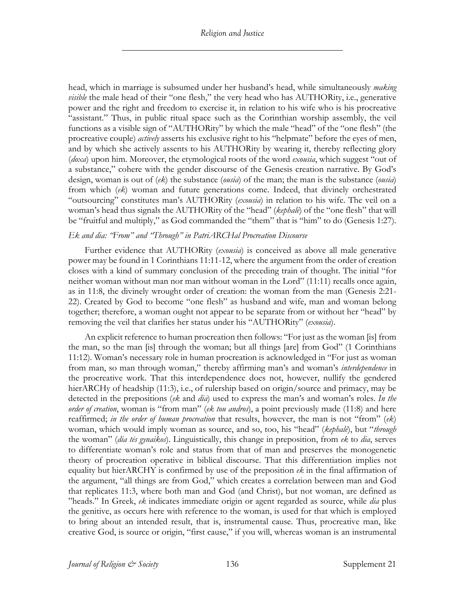head, which in marriage is subsumed under her husband's head, while simultaneously *making visible* the male head of their "one flesh," the very head who has AUTHORity, i.e., generative power and the right and freedom to exercise it, in relation to his wife who is his procreative "assistant." Thus, in public ritual space such as the Corinthian worship assembly, the veil functions as a visible sign of "AUTHORity" by which the male "head" of the "one flesh" (the procreative couple) *actively* asserts his exclusive right to his "helpmate" before the eyes of men, and by which she actively assents to his AUTHORity by wearing it, thereby reflecting glory (*doxa*) upon him. Moreover, the etymological roots of the word *exousia*, which suggest "out of a substance," cohere with the gender discourse of the Genesis creation narrative. By God's design, woman is out of (*ek*) the substance (*ousia*) of the man; the man is the substance (*ousia*) from which (*ek*) woman and future generations come. Indeed, that divinely orchestrated "outsourcing" constitutes man's AUTHORity (*exousia*) in relation to his wife. The veil on a woman's head thus signals the AUTHORity of the "head" (*kephalē*) of the "one flesh" that will be "fruitful and multiply," as God commanded the "them" that is "him" to do (Genesis 1:27).

## *Ek and dia: "From" and "Through" in PatriARCHal Procreation Discourse*

Further evidence that AUTHORity (*exousia*) is conceived as above all male generative power may be found in 1 Corinthians 11:11-12, where the argument from the order of creation closes with a kind of summary conclusion of the preceding train of thought. The initial "for neither woman without man nor man without woman in the Lord" (11:11) recalls once again, as in 11:8, the divinely wrought order of creation: the woman from the man (Genesis 2:21- 22). Created by God to become "one flesh" as husband and wife, man and woman belong together; therefore, a woman ought not appear to be separate from or without her "head" by removing the veil that clarifies her status under his "AUTHORity" (*exousia*).

An explicit reference to human procreation then follows: "For just as the woman [is] from the man, so the man [is] through the woman; but all things [are] from God" (1 Corinthians 11:12). Woman's necessary role in human procreation is acknowledged in "For just as woman from man, so man through woman," thereby affirming man's and woman's *interdependence* in the procreative work. That this interdependence does not, however, nullify the gendered hierARCHy of headship (11:3), i.e., of rulership based on origin/source and primacy, may be detected in the prepositions (*ek* and *dia*) used to express the man's and woman's roles. *In the order of creation*, woman is "from man" (*ek tou andros*), a point previously made (11:8) and here reaffirmed; *in the order of human procreation* that results, however, the man is not "from" (*ek*) woman, which would imply woman as source, and so, too, his "head" (*kephalē*), but "*through* the woman" (*dia tēs gynaikos*). Linguistically, this change in preposition, from *ek* to *dia*, serves to differentiate woman's role and status from that of man and preserves the monogenetic theory of procreation operative in biblical discourse. That this differentiation implies not equality but hierARCHY is confirmed by use of the preposition *ek* in the final affirmation of the argument, "all things are from God," which creates a correlation between man and God that replicates 11:3, where both man and God (and Christ), but not woman, are defined as "heads." In Greek, *ek* indicates immediate origin or agent regarded as source, while *dia* plus the genitive, as occurs here with reference to the woman, is used for that which is employed to bring about an intended result, that is, instrumental cause. Thus, procreative man, like creative God, is source or origin, "first cause," if you will, whereas woman is an instrumental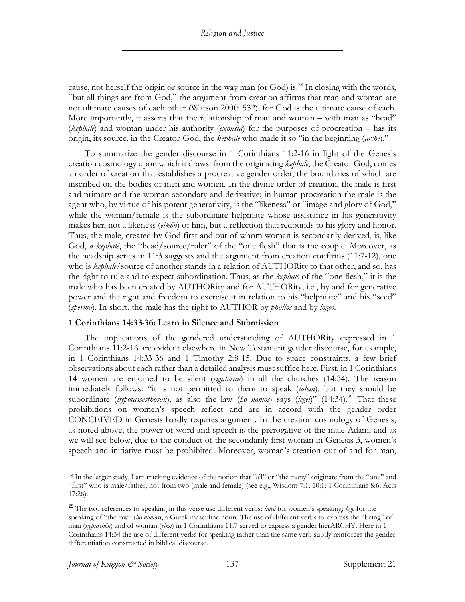cause, not herself the origin or source in the way man (or God) is.<sup>28</sup> In closing with the words, "but all things are from God," the argument from creation affirms that man and woman are not ultimate causes of each other (Watson 2000: 532), for God is the ultimate cause of each. More importantly, it asserts that the relationship of man and woman – with man as "head" (*kephalē*) and woman under his authority (*exousia*) for the purposes of procreation – has its origin, its source, in the Creator-God, the *kephalē* who made it so "in the beginning (*archē*)."

To summarize the gender discourse in 1 Corinthians 11:2-16 in light of the Genesis creation cosmology upon which it draws: from the originating *kephalē*, the Creator God, comes an order of creation that establishes a procreative gender order, the boundaries of which are inscribed on the bodies of men and women. In the divine order of creation, the male is first and primary and the woman secondary and derivative; in human procreation the male is the agent who, by virtue of his potent generativity, is the "likeness" or "image and glory of God," while the woman/female is the subordinate helpmate whose assistance in his generativity makes her, not a likeness (*eikōn*) of him, but a reflection that redounds to his glory and honor. Thus, the male, created by God first and out of whom woman is secondarily derived, is, like God, *a kephal*<sup>*i*</sup>, the "head/source/ruler" of the "one flesh" that is the couple. Moreover, as the headship series in 11:3 suggests and the argument from creation confirms (11:7-12), one who is *kephalē*/source of another stands in a relation of AUTHORity to that other, and so, has the right to rule and to expect subordination. Thus, as the *kephalē* of the "one flesh," it is the male who has been created by AUTHORity and for AUTHORity, i.e., by and for generative power and the right and freedom to exercise it in relation to his "helpmate" and his "seed" (*sperma*). In short, the male has the right to AUTHOR by *phallos* and by *logos*.

## **1 Corinthians 14:33-36: Learn in Silence and Submission**

The implications of the gendered understanding of AUTHORity expressed in 1 Corinthians 11:2-16 are evident elsewhere in New Testament gender discourse, for example, in 1 Corinthians 14:33-36 and 1 Timothy 2:8-15. Due to space constraints, a few brief observations about each rather than a detailed analysis must suffice here. First, in 1 Corinthians 14 women are enjoined to be silent (*sigatōsan*) in all the churches (14:34). The reason immediately follows: "it is not permitted to them to speak (*lalein*), but they should be subordinate (*hypotassesthōsan*), as also the law (*ho nomos*) says (*legei*)" (14:34).29 That these prohibitions on women's speech reflect and are in accord with the gender order CONCEIVED in Genesis hardly requires argument. In the creation cosmology of Genesis, as noted above, the power of word and speech is the prerogative of the male Adam; and as we will see below, due to the conduct of the secondarily first woman in Genesis 3, women's speech and initiative must be prohibited. Moreover, woman's creation out of and for man,

<sup>28</sup> In the larger study, I am tracking evidence of the notion that "all" or "the many" originate from the "one" and "first" who is male/father, not from two (male and female) (see e.g., Wisdom 7:1; 10:1; 1 Corinthians 8:6; Acts 17:26).

<sup>29</sup> The two references to speaking in this verse use different verbs: *laleō* for women's speaking; *lego* for the speaking of "the law" (*ho nomos*), a Greek masculine noun. The use of different verbs to express the "being" of man (*hyparchōn*) and of woman (*eimi*) in 1 Corinthians 11:7 served to express a gender hierARCHY. Here in 1 Corinthians 14:34 the use of different verbs for speaking rather than the same verb subtly reinforces the gender differentiation constructed in biblical discourse.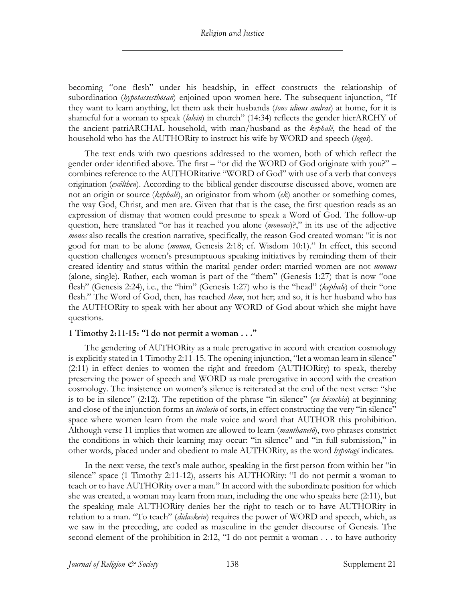becoming "one flesh" under his headship, in effect constructs the relationship of subordination (*hypotassesthōsan*) enjoined upon women here. The subsequent injunction, "If they want to learn anything, let them ask their husbands (*tous idious andras*) at home, for it is shameful for a woman to speak (*lalein*) in church" (14:34) reflects the gender hierARCHY of the ancient patriARCHAL household, with man/husband as the *kephalē*, the head of the household who has the AUTHORity to instruct his wife by WORD and speech (*logos*).

The text ends with two questions addressed to the women, both of which reflect the gender order identified above. The first – "or did the WORD of God originate with you?" – combines reference to the AUTHORitative "WORD of God" with use of a verb that conveys origination (*exēlthen*). According to the biblical gender discourse discussed above, women are not an origin or source (*kephalē*), an originator from whom (*ek*) another or something comes, the way God, Christ, and men are. Given that that is the case, the first question reads as an expression of dismay that women could presume to speak a Word of God. The follow-up question, here translated "or has it reached you alone (*monous*)?," in its use of the adjective *monos* also recalls the creation narrative, specifically, the reason God created woman: "it is not good for man to be alone (*monon*, Genesis 2:18; cf. Wisdom 10:1)." In effect, this second question challenges women's presumptuous speaking initiatives by reminding them of their created identity and status within the marital gender order: married women are not *monous* (alone, single). Rather, each woman is part of the "them" (Genesis 1:27) that is now "one flesh" (Genesis 2:24), i.e., the "him" (Genesis 1:27) who is the "head" (*kephale*) of their "one flesh." The Word of God, then, has reached *them*, not her; and so, it is her husband who has the AUTHORity to speak with her about any WORD of God about which she might have questions.

## **1 Timothy 2:11-15: "I do not permit a woman . . ."**

The gendering of AUTHORity as a male prerogative in accord with creation cosmology is explicitly stated in 1 Timothy 2:11-15. The opening injunction, "let a woman learn in silence" (2:11) in effect denies to women the right and freedom (AUTHORity) to speak, thereby preserving the power of speech and WORD as male prerogative in accord with the creation cosmology. The insistence on women's silence is reiterated at the end of the next verse: "she is to be in silence" (2:12). The repetition of the phrase "in silence" (*en hēsuchia*) at beginning and close of the injunction forms an *inclusio* of sorts, in effect constructing the very "in silence" space where women learn from the male voice and word that AUTHOR this prohibition. Although verse 11 implies that women are allowed to learn (*manthanetō*), two phrases constrict the conditions in which their learning may occur: "in silence" and "in full submission," in other words, placed under and obedient to male AUTHORity, as the word *hypotagē* indicates.

In the next verse, the text's male author, speaking in the first person from within her "in silence" space (1 Timothy 2:11-12), asserts his AUTHORity: "I do not permit a woman to teach or to have AUTHORity over a man." In accord with the subordinate position for which she was created, a woman may learn from man, including the one who speaks here (2:11), but the speaking male AUTHORity denies her the right to teach or to have AUTHORity in relation to a man. "To teach" (*didaskein*) requires the power of WORD and speech, which, as we saw in the preceding, are coded as masculine in the gender discourse of Genesis. The second element of the prohibition in 2:12, "I do not permit a woman . . . to have authority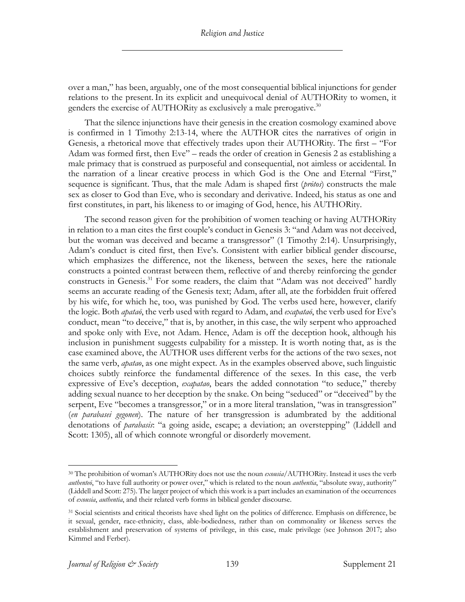over a man," has been, arguably, one of the most consequential biblical injunctions for gender relations to the present.In its explicit and unequivocal denial of AUTHORity to women, it genders the exercise of AUTHORity as exclusively a male prerogative.<sup>30</sup>

That the silence injunctions have their genesis in the creation cosmology examined above is confirmed in 1 Timothy 2:13-14, where the AUTHOR cites the narratives of origin in Genesis, a rhetorical move that effectively trades upon their AUTHORity. The first – "For Adam was formed first, then Eve" – reads the order of creation in Genesis 2 as establishing a male primacy that is construed as purposeful and consequential, not aimless or accidental. In the narration of a linear creative process in which God is the One and Eternal "First," sequence is significant. Thus, that the male Adam is shaped first (*prōtos*) constructs the male sex as closer to God than Eve, who is secondary and derivative. Indeed, his status as one and first constitutes, in part, his likeness to or imaging of God, hence, his AUTHORity.

The second reason given for the prohibition of women teaching or having AUTHORity in relation to a man cites the first couple's conduct in Genesis 3: "and Adam was not deceived, but the woman was deceived and became a transgressor" (1 Timothy 2:14). Unsurprisingly, Adam's conduct is cited first, then Eve's. Consistent with earlier biblical gender discourse, which emphasizes the difference, not the likeness, between the sexes, here the rationale constructs a pointed contrast between them, reflective of and thereby reinforcing the gender constructs in Genesis.<sup>31</sup> For some readers, the claim that "Adam was not deceived" hardly seems an accurate reading of the Genesis text; Adam, after all, ate the forbidden fruit offered by his wife, for which he, too, was punished by God. The verbs used here, however, clarify the logic. Both *apataō*, the verb used with regard to Adam, and *exapataō*, the verb used for Eve's conduct, mean "to deceive," that is, by another, in this case, the wily serpent who approached and spoke only with Eve, not Adam. Hence, Adam is off the deception hook, although his inclusion in punishment suggests culpability for a misstep. It is worth noting that, as is the case examined above, the AUTHOR uses different verbs for the actions of the two sexes, not the same verb, *apatao*, as one might expect. As in the examples observed above, such linguistic choices subtly reinforce the fundamental difference of the sexes. In this case, the verb expressive of Eve's deception, *exapatao*, bears the added connotation "to seduce," thereby adding sexual nuance to her deception by the snake. On being "seduced" or "deceived" by the serpent, Eve "becomes a transgressor," or in a more literal translation, "was in transgression" (*en parabasei gegonen*). The nature of her transgression is adumbrated by the additional denotations of *parabasis*: "a going aside, escape; a deviation; an overstepping" (Liddell and Scott: 1305), all of which connote wrongful or disorderly movement.

<sup>30</sup> The prohibition of woman's AUTHORity does not use the noun *exousia*/AUTHORity. Instead it uses the verb *authenteō*, "to have full authority or power over," which is related to the noun *authentia*, "absolute sway, authority" (Liddell and Scott: 275). The larger project of which this work is a part includes an examination of the occurrences of *exousia*, *authentia*, and their related verb forms in biblical gender discourse.

<sup>&</sup>lt;sup>31</sup> Social scientists and critical theorists have shed light on the politics of difference. Emphasis on difference, be it sexual, gender, race-ethnicity, class, able-bodiedness, rather than on commonality or likeness serves the establishment and preservation of systems of privilege, in this case, male privilege (see Johnson 2017; also Kimmel and Ferber).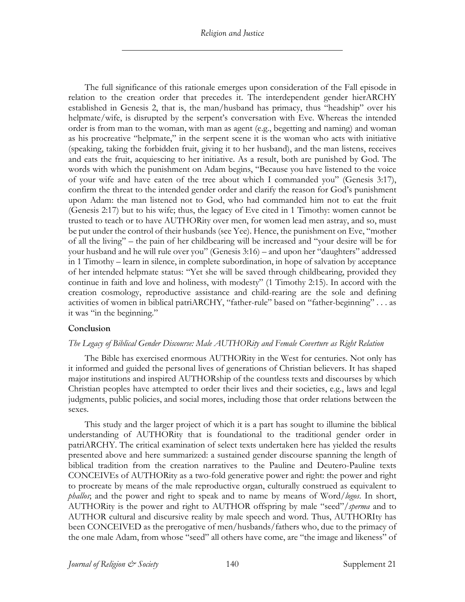*Religion and Justice*

The full significance of this rationale emerges upon consideration of the Fall episode in relation to the creation order that precedes it. The interdependent gender hierARCHY established in Genesis 2, that is, the man/husband has primacy, thus "headship" over his helpmate/wife, is disrupted by the serpent's conversation with Eve. Whereas the intended order is from man to the woman, with man as agent (e.g., begetting and naming) and woman as his procreative "helpmate," in the serpent scene it is the woman who acts with initiative (speaking, taking the forbidden fruit, giving it to her husband), and the man listens, receives and eats the fruit, acquiescing to her initiative. As a result, both are punished by God. The words with which the punishment on Adam begins, "Because you have listened to the voice of your wife and have eaten of the tree about which I commanded you" (Genesis 3:17), confirm the threat to the intended gender order and clarify the reason for God's punishment upon Adam: the man listened not to God, who had commanded him not to eat the fruit (Genesis 2:17) but to his wife; thus, the legacy of Eve cited in 1 Timothy: women cannot be trusted to teach or to have AUTHORity over men, for women lead men astray, and so, must be put under the control of their husbands (see Yee). Hence, the punishment on Eve, "mother of all the living" – the pain of her childbearing will be increased and "your desire will be for your husband and he will rule over you" (Genesis 3:16) – and upon her "daughters" addressed in 1 Timothy – learn in silence, in complete subordination, in hope of salvation by acceptance of her intended helpmate status: "Yet she will be saved through childbearing, provided they continue in faith and love and holiness, with modesty" (1 Timothy 2:15). In accord with the creation cosmology, reproductive assistance and child-rearing are the sole and defining activities of women in biblical patriARCHY, "father-rule" based on "father-beginning" . . . as it was "in the beginning."

## **Conclusion**

## *The Legacy of Biblical Gender Discourse: Male AUTHORity and Female Coverture as Right Relation*

The Bible has exercised enormous AUTHORity in the West for centuries. Not only has it informed and guided the personal lives of generations of Christian believers. It has shaped major institutions and inspired AUTHORship of the countless texts and discourses by which Christian peoples have attempted to order their lives and their societies, e.g., laws and legal judgments, public policies, and social mores, including those that order relations between the sexes.

This study and the larger project of which it is a part has sought to illumine the biblical understanding of AUTHORity that is foundational to the traditional gender order in patriARCHY. The critical examination of select texts undertaken here has yielded the results presented above and here summarized: a sustained gender discourse spanning the length of biblical tradition from the creation narratives to the Pauline and Deutero-Pauline texts CONCEIVEs of AUTHORity as a two-fold generative power and right: the power and right to procreate by means of the male reproductive organ, culturally construed as equivalent to *phallos*; and the power and right to speak and to name by means of Word/*logos*. In short, AUTHORity is the power and right to AUTHOR offspring by male "seed"/*sperma* and to AUTHOR cultural and discursive reality by male speech and word. Thus, AUTHORIty has been CONCEIVED as the prerogative of men/husbands/fathers who, due to the primacy of the one male Adam, from whose "seed" all others have come, are "the image and likeness" of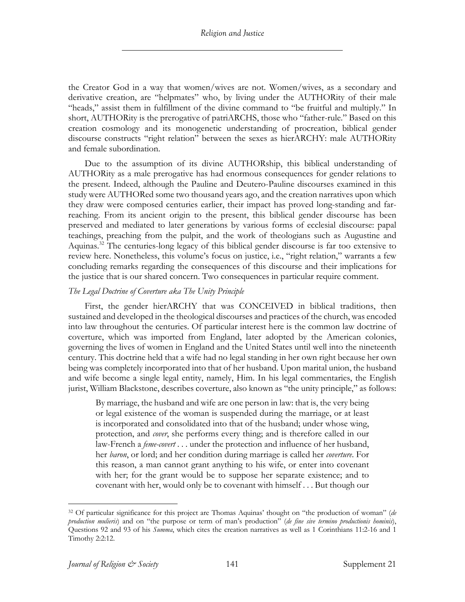the Creator God in a way that women/wives are not. Women/wives, as a secondary and derivative creation, are "helpmates" who, by living under the AUTHORity of their male "heads," assist them in fulfillment of the divine command to "be fruitful and multiply." In short, AUTHORity is the prerogative of patriARCHS, those who "father-rule." Based on this creation cosmology and its monogenetic understanding of procreation, biblical gender discourse constructs "right relation" between the sexes as hierARCHY: male AUTHORity and female subordination.

Due to the assumption of its divine AUTHORship, this biblical understanding of AUTHORity as a male prerogative has had enormous consequences for gender relations to the present. Indeed, although the Pauline and Deutero-Pauline discourses examined in this study were AUTHORed some two thousand years ago, and the creation narratives upon which they draw were composed centuries earlier, their impact has proved long-standing and farreaching. From its ancient origin to the present, this biblical gender discourse has been preserved and mediated to later generations by various forms of ecclesial discourse: papal teachings, preaching from the pulpit, and the work of theologians such as Augustine and Aquinas.<sup>32</sup> The centuries-long legacy of this biblical gender discourse is far too extensive to review here. Nonetheless, this volume's focus on justice, i.e., "right relation," warrants a few concluding remarks regarding the consequences of this discourse and their implications for the justice that is our shared concern. Two consequences in particular require comment.

## *The Legal Doctrine of Coverture aka The Unity Principle*

First, the gender hierARCHY that was CONCEIVED in biblical traditions, then sustained and developed in the theological discourses and practices of the church, was encoded into law throughout the centuries. Of particular interest here is the common law doctrine of coverture, which was imported from England, later adopted by the American colonies, governing the lives of women in England and the United States until well into the nineteenth century. This doctrine held that a wife had no legal standing in her own right because her own being was completely incorporated into that of her husband. Upon marital union, the husband and wife become a single legal entity, namely, Him. In his legal commentaries, the English jurist, William Blackstone, describes coverture, also known as "the unity principle," as follows:

By marriage, the husband and wife are one person in law: that is, the very being or legal existence of the woman is suspended during the marriage, or at least is incorporated and consolidated into that of the husband; under whose wing, protection, and *cover*, she performs every thing; and is therefore called in our law-French a *feme-covert* . . . under the protection and influence of her husband, her *baron*, or lord; and her condition during marriage is called her *coverture*. For this reason, a man cannot grant anything to his wife, or enter into covenant with her; for the grant would be to suppose her separate existence; and to covenant with her, would only be to covenant with himself . . . But though our

<sup>32</sup> Of particular significance for this project are Thomas Aquinas' thought on "the production of woman" (*de production mulieris*) and on "the purpose or term of man's production" (*de fine sive termino productionis hominis*), Questions 92 and 93 of his *Summa*, which cites the creation narratives as well as 1 Corinthians 11:2-16 and 1 Timothy 2:2:12.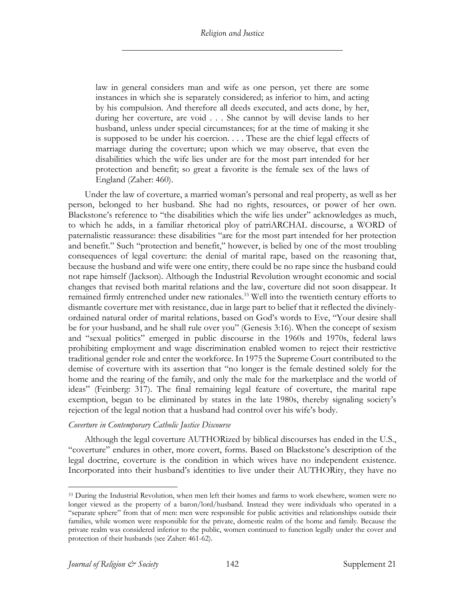law in general considers man and wife as one person, yet there are some instances in which she is separately considered; as inferior to him, and acting by his compulsion. And therefore all deeds executed, and acts done, by her, during her coverture, are void . . . She cannot by will devise lands to her husband, unless under special circumstances; for at the time of making it she is supposed to be under his coercion. . . . These are the chief legal effects of marriage during the coverture; upon which we may observe, that even the disabilities which the wife lies under are for the most part intended for her protection and benefit; so great a favorite is the female sex of the laws of England (Zaher: 460).

Under the law of coverture, a married woman's personal and real property, as well as her person, belonged to her husband. She had no rights, resources, or power of her own. Blackstone's reference to "the disabilities which the wife lies under" acknowledges as much, to which he adds, in a familiar rhetorical ploy of patriARCHAL discourse, a WORD of paternalistic reassurance: these disabilities "are for the most part intended for her protection and benefit." Such "protection and benefit," however, is belied by one of the most troubling consequences of legal coverture: the denial of marital rape, based on the reasoning that, because the husband and wife were one entity, there could be no rape since the husband could not rape himself (Jackson). Although the Industrial Revolution wrought economic and social changes that revised both marital relations and the law, coverture did not soon disappear. It remained firmly entrenched under new rationales.<sup>33</sup> Well into the twentieth century efforts to dismantle coverture met with resistance, due in large part to belief that it reflected the divinelyordained natural order of marital relations, based on God's words to Eve, "Your desire shall be for your husband, and he shall rule over you" (Genesis 3:16). When the concept of sexism and "sexual politics" emerged in public discourse in the 1960s and 1970s, federal laws prohibiting employment and wage discrimination enabled women to reject their restrictive traditional gender role and enter the workforce. In 1975 the Supreme Court contributed to the demise of coverture with its assertion that "no longer is the female destined solely for the home and the rearing of the family, and only the male for the marketplace and the world of ideas" (Feinberg: 317). The final remaining legal feature of coverture, the marital rape exemption, began to be eliminated by states in the late 1980s, thereby signaling society's rejection of the legal notion that a husband had control over his wife's body.

## *Coverture in Contemporary Catholic Justice Discourse*

Although the legal coverture AUTHORized by biblical discourses has ended in the U.S., "coverture" endures in other, more covert, forms. Based on Blackstone's description of the legal doctrine, coverture is the condition in which wives have no independent existence. Incorporated into their husband's identities to live under their AUTHORity, they have no

<sup>&</sup>lt;sup>33</sup> During the Industrial Revolution, when men left their homes and farms to work elsewhere, women were no longer viewed as the property of a baron/lord/husband. Instead they were individuals who operated in a "separate sphere" from that of men: men were responsible for public activities and relationships outside their families, while women were responsible for the private, domestic realm of the home and family. Because the private realm was considered inferior to the public, women continued to function legally under the cover and protection of their husbands (see Zaher: 461-62).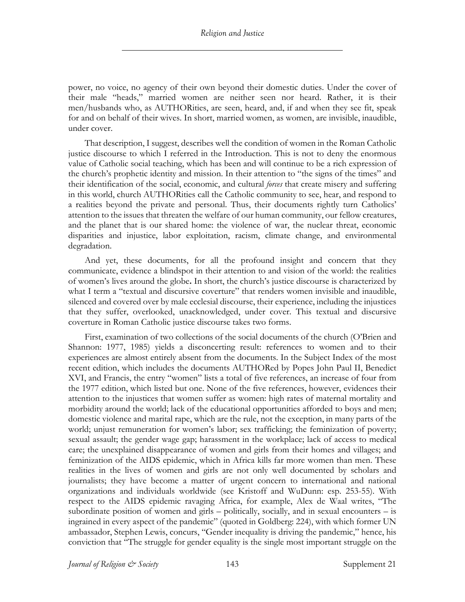power, no voice, no agency of their own beyond their domestic duties. Under the cover of their male "heads," married women are neither seen nor heard. Rather, it is their men/husbands who, as AUTHORities, are seen, heard, and, if and when they see fit, speak for and on behalf of their wives. In short, married women, as women, are invisible, inaudible, under cover.

That description, I suggest, describes well the condition of women in the Roman Catholic justice discourse to which I referred in the Introduction. This is not to deny the enormous value of Catholic social teaching, which has been and will continue to be a rich expression of the church's prophetic identity and mission. In their attention to "the signs of the times" and their identification of the social, economic, and cultural *forces* that create misery and suffering in this world, church AUTHORities call the Catholic community to see, hear, and respond to a realities beyond the private and personal. Thus, their documents rightly turn Catholics' attention to the issues that threaten the welfare of our human community, our fellow creatures, and the planet that is our shared home: the violence of war, the nuclear threat, economic disparities and injustice, labor exploitation, racism, climate change, and environmental degradation.

And yet, these documents, for all the profound insight and concern that they communicate, evidence a blindspot in their attention to and vision of the world: the realities of women's lives around the globe**.** In short, the church's justice discourse is characterized by what I term a "textual and discursive coverture" that renders women invisible and inaudible, silenced and covered over by male ecclesial discourse, their experience, including the injustices that they suffer, overlooked, unacknowledged, under cover. This textual and discursive coverture in Roman Catholic justice discourse takes two forms.

First, examination of two collections of the social documents of the church (O'Brien and Shannon: 1977, 1985) yields a disconcerting result: references to women and to their experiences are almost entirely absent from the documents. In the Subject Index of the most recent edition, which includes the documents AUTHORed by Popes John Paul II, Benedict XVI, and Francis, the entry "women" lists a total of five references, an increase of four from the 1977 edition, which listed but one. None of the five references, however, evidences their attention to the injustices that women suffer as women: high rates of maternal mortality and morbidity around the world; lack of the educational opportunities afforded to boys and men; domestic violence and marital rape, which are the rule, not the exception, in many parts of the world; unjust remuneration for women's labor; sex trafficking; the feminization of poverty; sexual assault; the gender wage gap; harassment in the workplace; lack of access to medical care; the unexplained disappearance of women and girls from their homes and villages; and feminization of the AIDS epidemic, which in Africa kills far more women than men. These realities in the lives of women and girls are not only well documented by scholars and journalists; they have become a matter of urgent concern to international and national organizations and individuals worldwide (see Kristoff and WuDunn: esp. 253-55). With respect to the AIDS epidemic ravaging Africa, for example, Alex de Waal writes, "The subordinate position of women and girls – politically, socially, and in sexual encounters – is ingrained in every aspect of the pandemic" (quoted in Goldberg: 224), with which former UN ambassador, Stephen Lewis, concurs, "Gender inequality is driving the pandemic," hence, his conviction that "The struggle for gender equality is the single most important struggle on the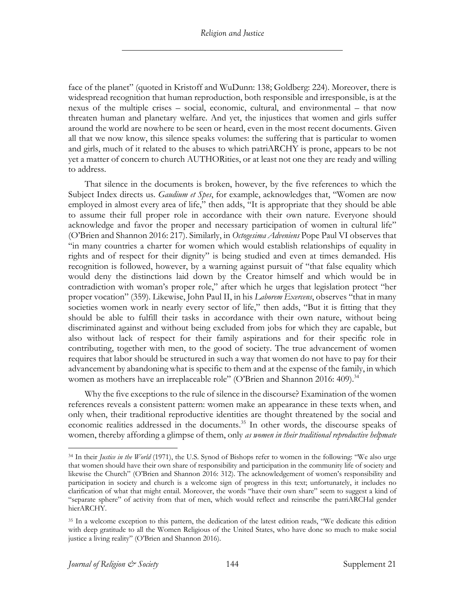face of the planet" (quoted in Kristoff and WuDunn: 138; Goldberg: 224). Moreover, there is widespread recognition that human reproduction, both responsible and irresponsible, is at the nexus of the multiple crises – social, economic, cultural, and environmental – that now threaten human and planetary welfare. And yet, the injustices that women and girls suffer around the world are nowhere to be seen or heard, even in the most recent documents. Given all that we now know, this silence speaks volumes: the suffering that is particular to women and girls, much of it related to the abuses to which patriARCHY is prone, appears to be not yet a matter of concern to church AUTHORities, or at least not one they are ready and willing to address.

That silence in the documents is broken, however, by the five references to which the Subject Index directs us. *Gaudium et Spes*, for example, acknowledges that, "Women are now employed in almost every area of life," then adds, "It is appropriate that they should be able to assume their full proper role in accordance with their own nature. Everyone should acknowledge and favor the proper and necessary participation of women in cultural life" (O'Brien and Shannon 2016: 217). Similarly, in *Octogesima Adveniens* Pope Paul VI observes that "in many countries a charter for women which would establish relationships of equality in rights and of respect for their dignity" is being studied and even at times demanded. His recognition is followed, however, by a warning against pursuit of "that false equality which would deny the distinctions laid down by the Creator himself and which would be in contradiction with woman's proper role," after which he urges that legislation protect "her proper vocation" (359). Likewise, John Paul II, in his *Laborem Exercens*, observes "that in many societies women work in nearly every sector of life," then adds, "But it is fitting that they should be able to fulfill their tasks in accordance with their own nature, without being discriminated against and without being excluded from jobs for which they are capable, but also without lack of respect for their family aspirations and for their specific role in contributing, together with men, to the good of society. The true advancement of women requires that labor should be structured in such a way that women do not have to pay for their advancement by abandoning what is specific to them and at the expense of the family, in which women as mothers have an irreplaceable role" (O'Brien and Shannon 2016: 409).<sup>34</sup>

Why the five exceptions to the rule of silence in the discourse? Examination of the women references reveals a consistent pattern: women make an appearance in these texts when, and only when, their traditional reproductive identities are thought threatened by the social and economic realities addressed in the documents.<sup>35</sup> In other words, the discourse speaks of women, thereby affording a glimpse of them, only *as women in their traditional reproductive helpmate* 

<sup>34</sup> In their *Justice in the World* (1971), the U.S. Synod of Bishops refer to women in the following: "We also urge that women should have their own share of responsibility and participation in the community life of society and likewise the Church" (O'Brien and Shannon 2016: 312). The acknowledgement of women's responsibility and participation in society and church is a welcome sign of progress in this text; unfortunately, it includes no clarification of what that might entail. Moreover, the words "have their own share" seem to suggest a kind of "separate sphere" of activity from that of men, which would reflect and reinscribe the patriARCHal gender hierARCHY.

<sup>35</sup> In a welcome exception to this pattern, the dedication of the latest edition reads, "We dedicate this edition with deep gratitude to all the Women Religious of the United States, who have done so much to make social justice a living reality" (O'Brien and Shannon 2016).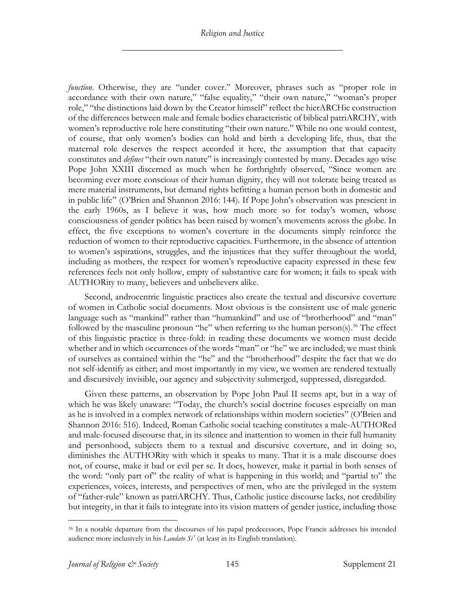## *Religion and Justice*

*function*. Otherwise, they are "under cover." Moreover, phrases such as "proper role in accordance with their own nature," "false equality," "their own nature," "woman's proper role," "the distinctions laid down by the Creator himself" reflect the hierARCHic construction of the differences between male and female bodies characteristic of biblical patriARCHY, with women's reproductive role here constituting "their own nature." While no one would contest, of course, that only women's bodies can hold and birth a developing life, thus, that the maternal role deserves the respect accorded it here, the assumption that that capacity constitutes and *defines* "their own nature" is increasingly contested by many. Decades ago wise Pope John XXIII discerned as much when he forthrightly observed, "Since women are becoming ever more conscious of their human dignity, they will not tolerate being treated as mere material instruments, but demand rights befitting a human person both in domestic and in public life" (O'Brien and Shannon 2016: 144). If Pope John's observation was prescient in the early 1960s, as I believe it was, how much more so for today's women, whose consciousness of gender politics has been raised by women's movements across the globe. In effect, the five exceptions to women's coverture in the documents simply reinforce the reduction of women to their reproductive capacities. Furthermore, in the absence of attention to women's aspirations, struggles, and the injustices that they suffer throughout the world, including as mothers, the respect for women's reproductive capacity expressed in these few references feels not only hollow, empty of substantive care for women; it fails to speak with AUTHORity to many, believers and unbelievers alike.

Second, androcentric linguistic practices also create the textual and discursive coverture of women in Catholic social documents. Most obvious is the consistent use of male generic language such as "mankind" rather than "humankind" and use of "brotherhood" and "man" followed by the masculine pronoun "he" when referring to the human person(s).<sup>36</sup> The effect of this linguistic practice is three-fold: in reading these documents we women must decide whether and in which occurrences of the words "man" or "he" we are included; we must think of ourselves as contained within the "he" and the "brotherhood" despite the fact that we do not self-identify as either; and most importantly in my view, we women are rendered textually and discursively invisible, our agency and subjectivity submerged, suppressed, disregarded.

Given these patterns, an observation by Pope John Paul II seems apt, but in a way of which he was likely unaware: "Today, the church's social doctrine focuses especially on man as he is involved in a complex network of relationships within modern societies" (O'Brien and Shannon 2016: 516). Indeed, Roman Catholic social teaching constitutes a male-AUTHORed and male-focused discourse that, in its silence and inattention to women in their full humanity and personhood, subjects them to a textual and discursive coverture, and in doing so, diminishes the AUTHORity with which it speaks to many. That it is a male discourse does not, of course, make it bad or evil per se. It does, however, make it partial in both senses of the word: "only part of" the reality of what is happening in this world; and "partial to" the experiences, voices, interests, and perspectives of men, who are the privileged in the system of "father-rule" known as patriARCHY. Thus, Catholic justice discourse lacks, not credibility but integrity, in that it fails to integrate into its vision matters of gender justice, including those

<sup>36</sup> In a notable departure from the discourses of his papal predecessors, Pope Francis addresses his intended audience more inclusively in his *Laudato Si'* (at least in its English translation).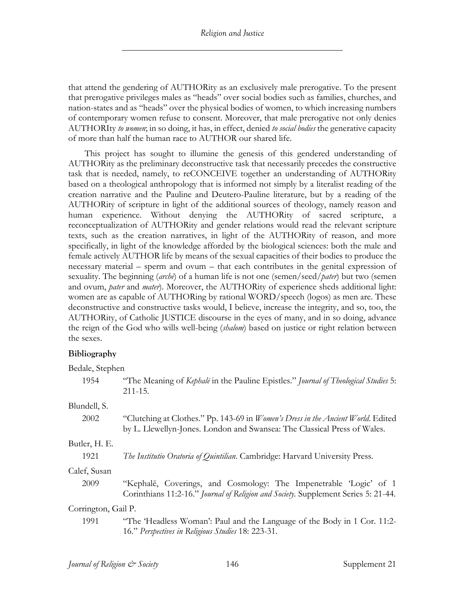that attend the gendering of AUTHORity as an exclusively male prerogative. To the present that prerogative privileges males as "heads" over social bodies such as families, churches, and nation-states and as "heads" over the physical bodies of women, to which increasing numbers of contemporary women refuse to consent. Moreover, that male prerogative not only denies AUTHORIty *to women*; in so doing, it has, in effect, denied *to social bodies* the generative capacity of more than half the human race to AUTHOR our shared life.

This project has sought to illumine the genesis of this gendered understanding of AUTHORity as the preliminary deconstructive task that necessarily precedes the constructive task that is needed, namely, to reCONCEIVE together an understanding of AUTHORity based on a theological anthropology that is informed not simply by a literalist reading of the creation narrative and the Pauline and Deutero-Pauline literature, but by a reading of the AUTHORity of scripture in light of the additional sources of theology, namely reason and human experience. Without denying the AUTHORity of sacred scripture, a reconceptualization of AUTHORity and gender relations would read the relevant scripture texts, such as the creation narratives, in light of the AUTHORity of reason, and more specifically, in light of the knowledge afforded by the biological sciences: both the male and female actively AUTHOR life by means of the sexual capacities of their bodies to produce the necessary material – sperm and ovum – that each contributes in the genital expression of sexuality. The beginning (*archē*) of a human life is not one (semen/seed/*pater*) but two (semen and ovum, *pater* and *mater*). Moreover, the AUTHORity of experience sheds additional light: women are as capable of AUTHORing by rational WORD/speech (logos) as men are. These deconstructive and constructive tasks would, I believe, increase the integrity, and so, too, the AUTHORity, of Catholic JUSTICE discourse in the eyes of many, and in so doing, advance the reign of the God who wills well-being (*shalom*) based on justice or right relation between the sexes.

## **Bibliography**

| Bedale, Stephen     |                                                                                                                                                                      |  |  |  |
|---------------------|----------------------------------------------------------------------------------------------------------------------------------------------------------------------|--|--|--|
| 1954                | "The Meaning of Kephale in the Pauline Epistles." Journal of Theological Studies 5:<br>$211 - 15.$                                                                   |  |  |  |
| Blundell, S.        |                                                                                                                                                                      |  |  |  |
| 2002                | "Clutching at Clothes." Pp. 143-69 in <i>Women's Dress in the Ancient World</i> . Edited<br>by L. Llewellyn-Jones. London and Swansea: The Classical Press of Wales. |  |  |  |
| Butler, H. E.       |                                                                                                                                                                      |  |  |  |
| 1921                | The Institutio Oratoria of Quintilian. Cambridge: Harvard University Press.                                                                                          |  |  |  |
| Calef, Susan        |                                                                                                                                                                      |  |  |  |
| 2009                | "Kephalē, Coverings, and Cosmology: The Impenetrable 'Logic' of 1<br>Corinthians 11:2-16." Journal of Religion and Society. Supplement Series 5: 21-44.              |  |  |  |
| Corrington, Gail P. |                                                                                                                                                                      |  |  |  |
| 1991                | "The 'Headless Woman': Paul and the Language of the Body in 1 Cor. 11:2-<br>16." Perspectives in Religious Studies 18: 223-31.                                       |  |  |  |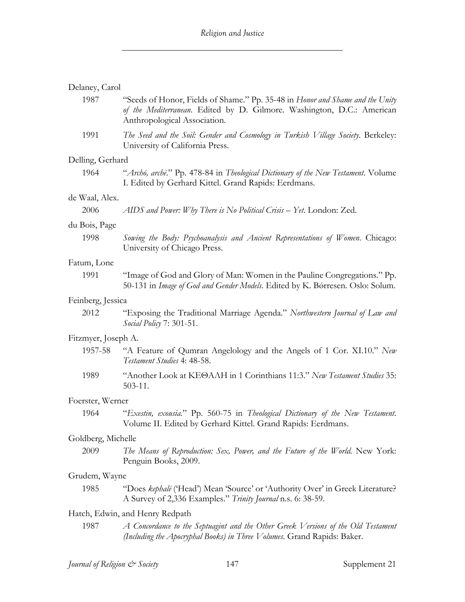## Delaney, Carol

| 1987                | "Seeds of Honor, Fields of Shame." Pp. 35-48 in Honor and Shame and the Unity<br>of the Mediterranean. Edited by D. Gilmore. Washington, D.C.: American<br>Anthropological Association. |  |  |  |
|---------------------|-----------------------------------------------------------------------------------------------------------------------------------------------------------------------------------------|--|--|--|
| 1991                | The Seed and the Soil: Gender and Cosmology in Turkish Village Society. Berkeley:<br>University of California Press.                                                                    |  |  |  |
| Delling, Gerhard    |                                                                                                                                                                                         |  |  |  |
| 1964                | "Archō, archē." Pp. 478-84 in Theological Dictionary of the New Testament. Volume<br>I. Edited by Gerhard Kittel. Grand Rapids: Eerdmans.                                               |  |  |  |
| de Waal, Alex.      |                                                                                                                                                                                         |  |  |  |
| 2006                | AIDS and Power: Why There is No Political Crisis $-$ Yet. London: Zed.                                                                                                                  |  |  |  |
| du Bois, Page       |                                                                                                                                                                                         |  |  |  |
| 1998                | Sowing the Body: Psychoanalysis and Ancient Representations of Women. Chicago:<br>University of Chicago Press.                                                                          |  |  |  |
| Fatum, Lone         |                                                                                                                                                                                         |  |  |  |
| 1991                | "Image of God and Glory of Man: Women in the Pauline Congregations." Pp.<br>50-131 in Image of God and Gender Models. Edited by K. Bórresen. Oslo: Solum.                               |  |  |  |
| Feinberg, Jessica   |                                                                                                                                                                                         |  |  |  |
| 2012                | "Exposing the Traditional Marriage Agenda." Northwestern Journal of Law and<br>Social Policy 7: 301-51.                                                                                 |  |  |  |
| Fitzmyer, Joseph A. |                                                                                                                                                                                         |  |  |  |
| 1957-58             | "A Feature of Qumran Angelology and the Angels of 1 Cor. XI.10." New<br>Testament Studies 4: 48-58.                                                                                     |  |  |  |
| 1989                | "Another Look at KEOAAH in 1 Corinthians 11:3." New Testament Studies 35:<br>$503 - 11.$                                                                                                |  |  |  |
| Foerster, Werner    |                                                                                                                                                                                         |  |  |  |
| 1964                | "Exestin, exousia." Pp. 560-75 in Theological Dictionary of the New Testament.<br>Volume II. Edited by Gerhard Kittel. Grand Rapids: Eerdmans.                                          |  |  |  |
| Goldberg, Michelle  |                                                                                                                                                                                         |  |  |  |
| 2009                | The Means of Reproduction: Sex, Power, and the Future of the World. New York:<br>Penguin Books, 2009.                                                                                   |  |  |  |
| Grudem, Wayne       |                                                                                                                                                                                         |  |  |  |
| 1985                | "Does kephalē ('Head') Mean 'Source' or 'Authority Over' in Greek Literature?<br>A Survey of 2,336 Examples." Trinity Journal n.s. 6: 38-59.                                            |  |  |  |
|                     | Hatch, Edwin, and Henry Redpath                                                                                                                                                         |  |  |  |
| 1987                | A Concordance to the Septuagint and the Other Greek Versions of the Old Testament<br>(Including the Apocryphal Books) in Three Volumes. Grand Rapids: Baker.                            |  |  |  |
|                     |                                                                                                                                                                                         |  |  |  |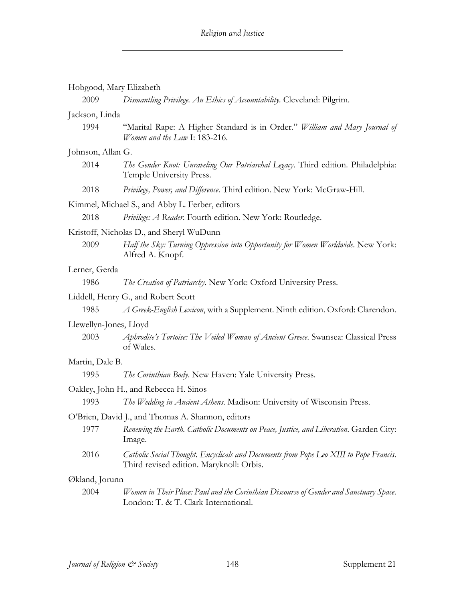|                        | Hobgood, Mary Elizabeth                                                                                                            |  |  |  |
|------------------------|------------------------------------------------------------------------------------------------------------------------------------|--|--|--|
| 2009                   | Dismantling Privilege. An Ethics of Accountability. Cleveland: Pilgrim.                                                            |  |  |  |
| Jackson, Linda         |                                                                                                                                    |  |  |  |
| 1994                   | "Marital Rape: A Higher Standard is in Order." William and Mary Journal of<br>Women and the Law I: 183-216.                        |  |  |  |
| Johnson, Allan G.      |                                                                                                                                    |  |  |  |
| 2014                   | The Gender Knot: Unraveling Our Patriarchal Legacy. Third edition. Philadelphia:<br>Temple University Press.                       |  |  |  |
| 2018                   | Privilege, Power, and Difference. Third edition. New York: McGraw-Hill.                                                            |  |  |  |
|                        | Kimmel, Michael S., and Abby L. Ferber, editors                                                                                    |  |  |  |
| 2018                   | Privilege: A Reader. Fourth edition. New York: Routledge.                                                                          |  |  |  |
|                        | Kristoff, Nicholas D., and Sheryl WuDunn                                                                                           |  |  |  |
| 2009                   | Half the Sky: Turning Oppression into Opportunity for Women Worldwide. New York:<br>Alfred A. Knopf.                               |  |  |  |
| Lerner, Gerda          |                                                                                                                                    |  |  |  |
| 1986                   | The Creation of Patriarchy. New York: Oxford University Press.                                                                     |  |  |  |
|                        | Liddell, Henry G., and Robert Scott                                                                                                |  |  |  |
| 1985                   | A Greek-English Lexicon, with a Supplement. Ninth edition. Oxford: Clarendon.                                                      |  |  |  |
| Llewellyn-Jones, Lloyd |                                                                                                                                    |  |  |  |
| 2003                   | Aphrodite's Tortoise: The Veiled Woman of Ancient Greece. Swansea: Classical Press<br>of Wales.                                    |  |  |  |
| Martin, Dale B.        |                                                                                                                                    |  |  |  |
| 1995                   | The Corinthian Body. New Haven: Yale University Press.                                                                             |  |  |  |
|                        | Oakley, John H., and Rebecca H. Sinos                                                                                              |  |  |  |
| 1993                   | The Wedding in Ancient Athens. Madison: University of Wisconsin Press.                                                             |  |  |  |
|                        | O'Brien, David J., and Thomas A. Shannon, editors                                                                                  |  |  |  |
| 1977                   | Renewing the Earth. Catholic Documents on Peace, Justice, and Liberation. Garden City:<br>Image.                                   |  |  |  |
| 2016                   | Catholic Social Thought. Encyclicals and Documents from Pope Leo XIII to Pope Francis.<br>Third revised edition. Maryknoll: Orbis. |  |  |  |
| Økland, Jorunn         |                                                                                                                                    |  |  |  |
| 2004                   | Women in Their Place: Paul and the Corinthian Discourse of Gender and Sanctuary Space.<br>London: T. & T. Clark International.     |  |  |  |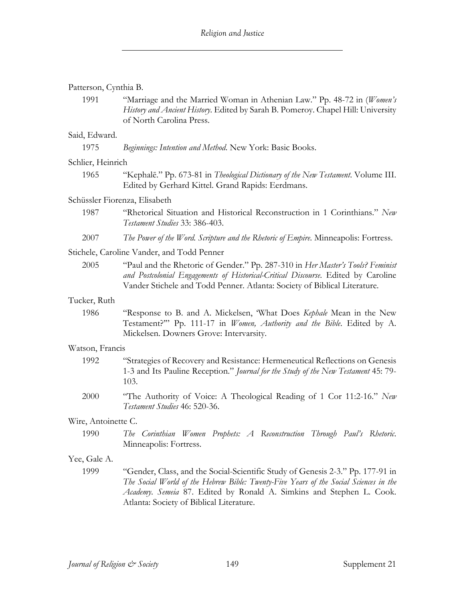## Patterson, Cynthia B.

1991 "Marriage and the Married Woman in Athenian Law." Pp. 48-72 in (*Women's History and Ancient History*. Edited by Sarah B. Pomeroy. Chapel Hill: University of North Carolina Press.

#### Said, Edward.

| 1975 |  |  |  | Beginnings: Intention and Method. New York: Basic Books. |
|------|--|--|--|----------------------------------------------------------|
|------|--|--|--|----------------------------------------------------------|

#### Schlier, Heinrich

1965 "Kephalē." Pp. 673-81 in *Theological Dictionary of the New Testament*. Volume III. Edited by Gerhard Kittel. Grand Rapids: Eerdmans.

## Schüssler Fiorenza, Elisabeth

- 1987 "Rhetorical Situation and Historical Reconstruction in 1 Corinthians." *New Testament Studies* 33: 386-403.
- 2007 *The Power of the Word. Scripture and the Rhetoric of Empire*. Minneapolis: Fortress.

## Stichele, Caroline Vander, and Todd Penner

2005 "Paul and the Rhetoric of Gender." Pp. 287-310 in *Her Master's Tools? Feminist and Postcolonial Engagements of Historical-Critical Discourse*. Edited by Caroline Vander Stichele and Todd Penner. Atlanta: Society of Biblical Literature.

## Tucker, Ruth

1986 "Response to B. and A. Mickelsen, 'What Does *Kephale* Mean in the New Testament?'" Pp. 111-17 in *Women, Authority and the Bible*. Edited by A. Mickelsen. Downers Grove: Intervarsity.

#### Watson, Francis

- 1992 "Strategies of Recovery and Resistance: Hermeneutical Reflections on Genesis 1-3 and Its Pauline Reception." *Journal for the Study of the New Testament* 45: 79- 103.
- 2000 "The Authority of Voice: A Theological Reading of 1 Cor 11:2-16." *New Testament Studies* 46: 520-36.

## Wire, Antoinette C.

1990 *The Corinthian Women Prophets: A Reconstruction Through Paul's Rhetoric*. Minneapolis: Fortress.

## Yee, Gale A.

1999 "Gender, Class, and the Social-Scientific Study of Genesis 2-3." Pp. 177-91 in *The Social World of the Hebrew Bible: Twenty-Five Years of the Social Sciences in the Academy*. *Semeia* 87. Edited by Ronald A. Simkins and Stephen L. Cook. Atlanta: Society of Biblical Literature.